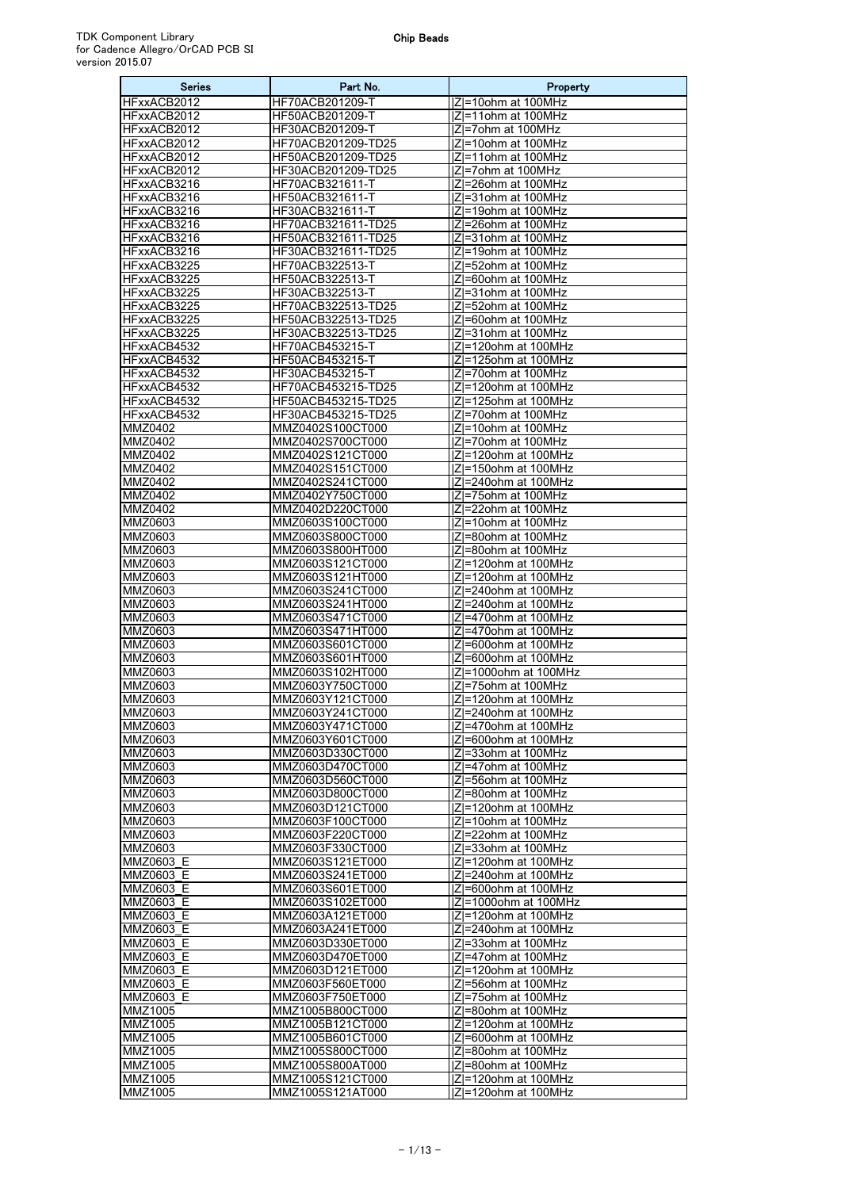| <b>Series</b>               | Part No.                                 | Property                                        |
|-----------------------------|------------------------------------------|-------------------------------------------------|
| HFxxACB2012                 | HF70ACB201209-T                          | IZI=10ohm at 100MHz                             |
| HFxxACB2012                 | HF50ACB201209-T                          | IZI=11ohm at 100MHz                             |
| HFxxACB2012                 | HF30ACB201209-T                          | IZI=7ohm at 100MHz                              |
| HFxxACB2012                 | HF70ACB201209-TD25                       | IZI=10ohm at 100MHz                             |
| HFxxACB2012                 | HF50ACB201209-TD25                       | Z =11ohm at 100MHz                              |
| HFxxACB2012                 | HF30ACB201209-TD25                       | IZI=7ohm at 100MHz                              |
| HFxxACB3216                 | HF70ACB321611-T                          | IZI=26ohm at 100MHz                             |
| HFxxACB3216                 | HF50ACB321611-T                          | IZI=31ohm at 100MHz                             |
| HFxxACB3216                 | HF30ACB321611-T                          | IZI=19ohm at 100MHz                             |
| HFxxACB3216                 | HF70ACB321611-TD25                       | Z =26ohm at 100MHz                              |
| HFxxACB3216<br>HFxxACB3216  | HF50ACB321611-TD25<br>HF30ACB321611-TD25 | IZI=31ohm at 100MHz<br>IZI=19ohm at 100MHz      |
| HFxxACB3225                 | HF70ACB322513-T                          | IZI=52ohm at 100MHz                             |
| HFxxACB3225                 | HF50ACB322513-T                          | IZI=60ohm at 100MHz                             |
| HFxxACB3225                 | HF30ACB322513-T                          | Z=31ohm at 100MHz                               |
| HFxxACB3225                 | HF70ACB322513-TD25                       | IZI=52ohm at 100MHz                             |
| HFxxACB3225                 | HF50ACB322513-TD25                       | IZI=60ohm at 100MHz                             |
| HFxxACB3225                 | HF30ACB322513-TD25                       | Z =31ohm at 100MHz                              |
| HFxxACB4532                 | HF70ACB453215-T                          | Z =120ohm at 100MHz                             |
| HFxxACB4532                 | HF50ACB453215-T                          | Z =125ohm at 100MHz                             |
| HFxxACB4532                 | HF30ACB453215-T                          | IZI=70ohm at 100MHz                             |
| HFxxACB4532                 | HF70ACB453215-TD25                       | IZI=120ohm at 100MHz                            |
| HFxxACB4532                 | HF50ACB453215-TD25                       | Z =125ohm at 100MHz                             |
| HFxxACB4532                 | HF30ACB453215-TD25                       | IZI=70ohm at 100MHz                             |
| MMZ0402                     | MMZ0402S100CT000                         | Z =10ohm at 100MHz                              |
| <b>MMZ0402</b>              | MMZ0402S700CT000                         | IZI=70ohm at 100MHz                             |
| MMZ0402<br>MMZ0402          | MMZ0402S121CT000<br>MMZ0402S151CT000     | IZI=120ohm at 100MHz<br>$ Z =150$ ohm at 100MHz |
| MMZ0402                     | MMZ0402S241CT000                         | IZI=240ohm at 100MHz                            |
| MMZ0402                     | MMZ0402Y750CT000                         | Z =75ohm at 100MHz                              |
| MMZ0402                     | MMZ0402D220CT000                         | IZI=22ohm at 100MHz                             |
| MMZ0603                     | MMZ0603S100CT000                         | IZI=10ohm at 100MHz                             |
| MMZ0603                     | MMZ0603S800CT000                         | Z =80ohm at 100MHz                              |
| MMZ0603                     | MMZ0603S800HT000                         | IZI=80ohm at 100MHz                             |
| MMZ0603                     | MMZ0603S121CT000                         | Z =120ohm at 100MHz                             |
| MMZ0603                     | MMZ0603S121HT000                         | IZI=120ohm at 100MHz                            |
| MMZ0603                     | MMZ0603S241CT000                         | IZI=240ohm at 100MHz                            |
| MMZ0603                     | MMZ0603S241HT000                         | Z =240ohm at 100MHz                             |
| MMZ0603                     | MMZ0603S471CT000                         | IZI=470ohm at 100MHz                            |
| MMZ0603                     | MMZ0603S471HT000                         | Z =470ohm at 100MHz                             |
| MMZ0603                     | MMZ0603S601CT000                         | IZI=600ohm at 100MHz                            |
| MMZ0603<br>MMZ0603          | MMZ0603S601HT000<br>MMZ0603S102HT000     | IZI=600ohm at 100MHz<br> Z =1000ohm at 100MHz   |
| MMZ0603                     | MMZ0603Y750CT000                         | IZI=75ohm at 100MHz                             |
| MMZ0603                     | MMZ0603Y121CT000                         | IZI=120ohm at 100MHz                            |
| <b>MMZ0603</b>              | MMZ0603Y241CT000                         | Z =240ohm at 100MHz                             |
| MMZ0603                     | MMZ0603Y471CT000                         | Z =470ohm at 100MHz                             |
| MMZ0603                     | MMZ0603Y601CT000                         | Z =600ohm at 100MHz                             |
| MMZ0603                     | MMZ0603D330CT000                         | Z =33ohm at 100MHz                              |
| MMZ0603                     | MMZ0603D470CT000                         | IZI=47ohm at 100MHz                             |
| MMZ0603                     | MMZ0603D560CT000                         | Z =56ohm at 100MHz                              |
| MMZ0603                     | MMZ0603D800CT000                         | IZI=80ohm at 100MHz                             |
| MMZ0603                     | MMZ0603D121CT000                         | Z =120ohm at 100MHz                             |
| MMZ0603                     | MMZ0603F100CT000                         | $\overline{ Z }$ =10ohm at 100MHz               |
| MMZ0603                     | MMZ0603F220CT000                         | IZI=22ohm at 100MHz                             |
| MMZ0603<br><b>MMZ0603 E</b> | MMZ0603F330CT000                         | IZI=33ohm at 100MHz                             |
| MMZ0603_E                   | MMZ0603S121ET000<br>MMZ0603S241ET000     | IZI=120ohm at 100MHz<br> Z =240ohm at 100MHz    |
| MMZ0603 E                   | MMZ0603S601ET000                         | $ Z =600$ ohm at 100MHz                         |
| MMZ0603 E                   | MMZ0603S102ET000                         | Z =1000ohm at 100MHz                            |
| MMZ0603 E                   | MMZ0603A121ET000                         | $ Z =120$ ohm at 100MHz                         |
| MMZ0603 E                   | MMZ0603A241ET000                         | IZI=240ohm at 100MHz                            |
| MMZ0603_E                   | MMZ0603D330ET000                         | Z =33ohm at 100MHz                              |
| MMZ0603 E                   | MMZ0603D470ET000                         | $ Z =47$ ohm at 100MHz                          |
| MMZ0603 E                   | MMZ0603D121ET000                         | Z =120ohm at 100MHz                             |
| MMZ0603 E                   | MMZ0603F560ET000                         | IZI=56ohm at 100MHz                             |
| MMZ0603 E                   | MMZ0603F750ET000                         | IZI=75ohm at 100MHz                             |
| MMZ1005                     | MMZ1005B800CT000                         | Z =80ohm at 100MHz                              |
| MMZ1005                     | MMZ1005B121CT000                         | Z =120ohm at 100MHz                             |
| MMZ1005                     | MMZ1005B601CT000                         | IZI=600ohm at 100MHz                            |
| MMZ1005                     | MMZ1005S800CT000                         | Z =80ohm at 100MHz                              |
| MMZ1005                     | MMZ1005S800AT000                         | IZI=80ohm at 100MHz                             |
| MMZ1005<br>MMZ1005          | MMZ1005S121CT000<br>MMZ1005S121AT000     | Z =120ohm at 100MHz<br> Z =120ohm at 100MHz     |
|                             |                                          |                                                 |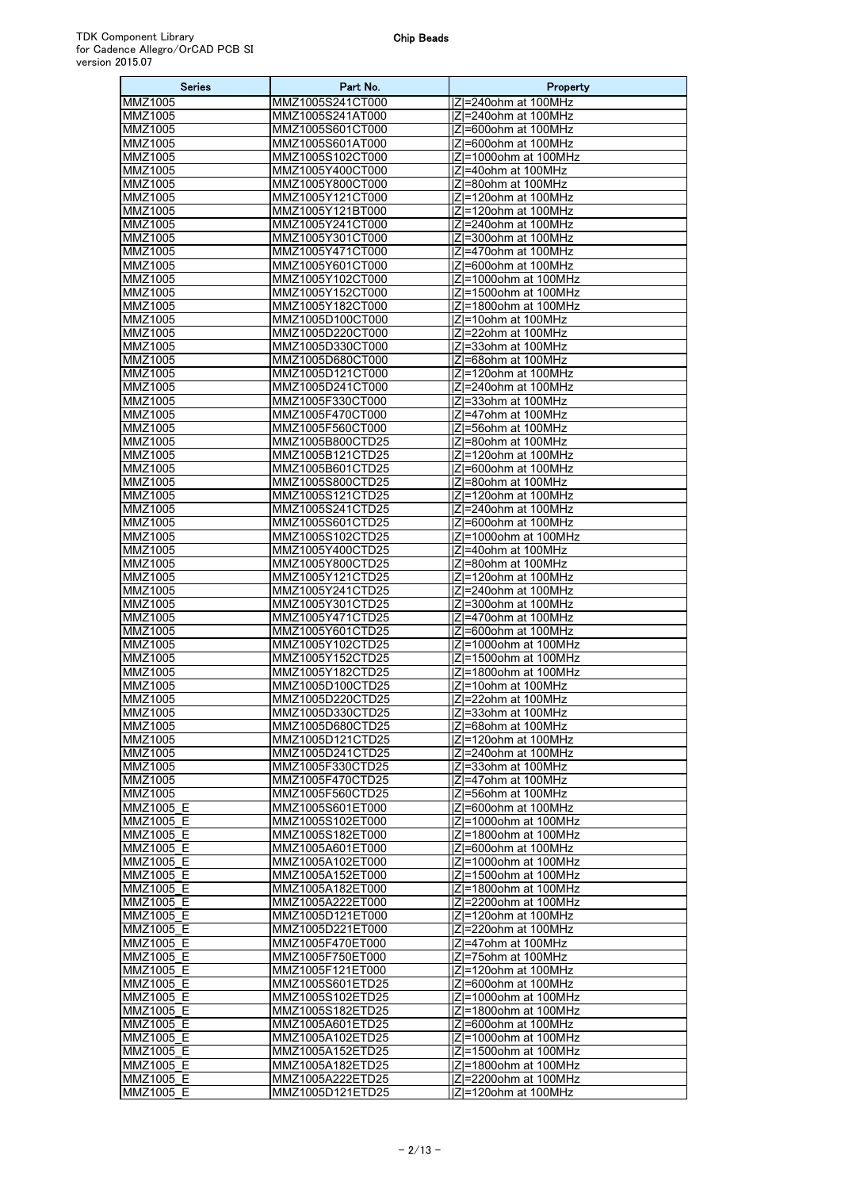| <b>Series</b>          | Part No.                             | Property                                     |
|------------------------|--------------------------------------|----------------------------------------------|
| MMZ1005                | MMZ1005S241CT000                     | Z =240ohm at 100MHz                          |
| MMZ1005                | MMZ1005S241AT000                     | IZI=240ohm at 100MHz                         |
| MMZ1005                | MMZ1005S601CT000                     | IZI=600ohm at 100MHz                         |
| MMZ1005                | MMZ1005S601AT000                     | IZI=600ohm at 100MHz                         |
| MMZ1005                | MMZ1005S102CT000                     | IZI=1000ohm at 100MHz                        |
| MMZ1005                | MMZ1005Y400CT000                     | IZI=40ohm at 100MHz                          |
| MMZ1005                | MMZ1005Y800CT000                     | IZI=80ohm at 100MHz                          |
| MMZ1005<br>MMZ1005     | MMZ1005Y121CT000<br>MMZ1005Y121BT000 | Z =120ohm at 100MHz<br>IZI=120ohm at 100MHz  |
| MMZ1005                | MMZ1005Y241CT000                     | Z =240ohm at 100MHz                          |
| MMZ1005                | MMZ1005Y301CT000                     | Z =300ohm at 100MHz                          |
| MMZ1005                | MMZ1005Y471CT000                     | IZI=470ohm at 100MHz                         |
| MMZ1005                | MMZ1005Y601CT000                     | IZI=600ohm at 100MHz                         |
| MMZ1005                | MMZ1005Y102CT000                     | Z =1000ohm at 100MHz                         |
| MMZ1005                | MMZ1005Y152CT000                     | Z =1500ohm at 100MHz                         |
| MMZ1005                | MMZ1005Y182CT000                     | Z =1800ohm at 100MHz                         |
| MMZ1005                | MMZ1005D100CT000                     | IZI=10ohm at 100MHz                          |
| MMZ1005                | MMZ1005D220CT000                     | Z =22ohm at 100MHz                           |
| MMZ1005                | MMZ1005D330CT000                     | IZI=33ohm at 100MHz                          |
| MMZ1005                | MMZ1005D680CT000                     | Z =68ohm at 100MHz                           |
| MMZ1005                | MMZ1005D121CT000                     | IZI=120ohm at 100MHz                         |
| MMZ1005                | MMZ1005D241CT000                     | Z =240ohm at 100MHz<br> Z =33ohm at 100MHz   |
| MMZ1005<br>MMZ1005     | MMZ1005F330CT000<br>MMZ1005F470CT000 | IZI=47ohm at 100MHz                          |
| MMZ1005                | MMZ1005F560CT000                     | Z = 56ohm at 100MHz                          |
| MMZ1005                | MMZ1005B800CTD25                     | Z =80ohm at 100MHz                           |
| MMZ1005                | MMZ1005B121CTD25                     | IZI=120ohm at 100MHz                         |
| MMZ1005                | MMZ1005B601CTD25                     | IZI=600ohm at 100MHz                         |
| MMZ1005                | MMZ1005S800CTD25                     | IZI=80ohm at 100MHz                          |
| MMZ1005                | MMZ1005S121CTD25                     | Z =120ohm at 100MHz                          |
| MMZ1005                | MMZ1005S241CTD25                     | Z =240ohm at 100MHz                          |
| MMZ1005                | MMZ1005S601CTD25                     | Z =600ohm at 100MHz                          |
| MMZ1005                | MMZ1005S102CTD25                     | Z =1000ohm at 100MHz                         |
| MMZ1005                | MMZ1005Y400CTD25                     | IZI=40ohm at 100MHz                          |
| MMZ1005                | MMZ1005Y800CTD25                     | Z =80ohm at 100MHz                           |
| MMZ1005<br>MMZ1005     | MMZ1005Y121CTD25<br>MMZ1005Y241CTD25 | IZI=120ohm at 100MHz<br>IZI=240ohm at 100MHz |
| MMZ1005                | MMZ1005Y301CTD25                     | Z =300ohm at 100MHz                          |
| MMZ1005                | MMZ1005Y471CTD25                     | IZI=470ohm at 100MHz                         |
| MMZ1005                | MMZ1005Y601CTD25                     | Z =600ohm at 100MHz                          |
| MMZ1005                | MMZ1005Y102CTD25                     | IZI=1000ohm at 100MHz                        |
| MMZ1005                | MMZ1005Y152CTD25                     | Z =1500ohm at 100MHz                         |
| MMZ1005                | MMZ1005Y182CTD25                     | Z =1800ohm at 100MHz                         |
| MMZ1005                | MMZ1005D100CTD25                     | IZI=10ohm at 100MHz                          |
| MMZ1005                | MMZ1005D220CTD25                     | IZI=22ohm at 100MHz                          |
| <b>MMZ1005</b>         | MMZ1005D330CTD25                     | Z =33ohm at 100MHz                           |
| MMZ1005                | MMZ1005D680CTD25                     | IZI=68ohm at 100MHz                          |
| MMZ1005                | MMZ1005D121CTD25                     | $ Z =120$ ohm at 100MHz                      |
| MMZ1005<br>MMZ1005     | MMZ1005D241CTD25<br>MMZ1005F330CTD25 | IZI=240ohm at 100MHz<br> Z =33ohm at 100MHz  |
| MMZ1005                | MMZ1005F470CTD25                     | Z =47ohm at 100MHz                           |
| MMZ1005                | MMZ1005F560CTD25                     | IZI=56ohm at 100MHz                          |
| MMZ1005 E              | MMZ1005S601ET000                     | Z =600ohm at 100MHz                          |
| MMZ1005 E              | MMZ1005S102ET000                     | IZI=1000ohm at 100MHz                        |
| MMZ1005_E              | MMZ1005S182ET000                     | Z =1800ohm at 100MHz                         |
| MMZ1005_E              | MMZ1005A601ET000                     | IZI=600ohm at 100MHz                         |
| MMZ1005 E              | MMZ1005A102ET000                     | Z =1000ohm at 100MHz                         |
| MMZ1005 E              | MMZ1005A152ET000                     | Z =1500ohm at 100MHz                         |
| MMZ1005 E              | MMZ1005A182ET000                     | Z =1800ohm at 100MHz                         |
| MMZ1005_E              | MMZ1005A222ET000                     | Z =2200ohm at 100MHz                         |
| MMZ1005 E<br>MMZ1005 E | MMZ1005D121ET000<br>MMZ1005D221ET000 | $ Z =120$ ohm at 100MHz                      |
| MMZ1005 E              | MMZ1005F470ET000                     | IZI=220ohm at 100MHz<br> Z =47ohm at 100MHz  |
| MMZ1005 E              | MMZ1005F750ET000                     | Z =75ohm at 100MHz                           |
| MMZ1005_E              | MMZ1005F121ET000                     | Z =120ohm at 100MHz                          |
| MMZ1005 E              | MMZ1005S601ETD25                     | Z =600ohm at 100MHz                          |
| MMZ1005 E              | MMZ1005S102ETD25                     | Z =1000ohm at 100MHz                         |
| MMZ1005 E              | MMZ1005S182ETD25                     | Z =1800ohm at 100MHz                         |
| MMZ1005 E              | MMZ1005A601ETD25                     | Z =600ohm at 100MHz                          |
| MMZ1005_E              | MMZ1005A102ETD25                     | Z =1000ohm at 100MHz                         |
| MMZ1005 E              | MMZ1005A152ETD25                     | Z =1500ohm at 100MHz                         |
| MMZ1005 E              | MMZ1005A182ETD25                     | IZI=1800ohm at 100MHz                        |
| MMZ1005 E              | MMZ1005A222ETD25                     | Z =2200ohm at 100MHz                         |
| MMZ1005 E              | MMZ1005D121ETD25                     | IZI=120ohm at 100MHz                         |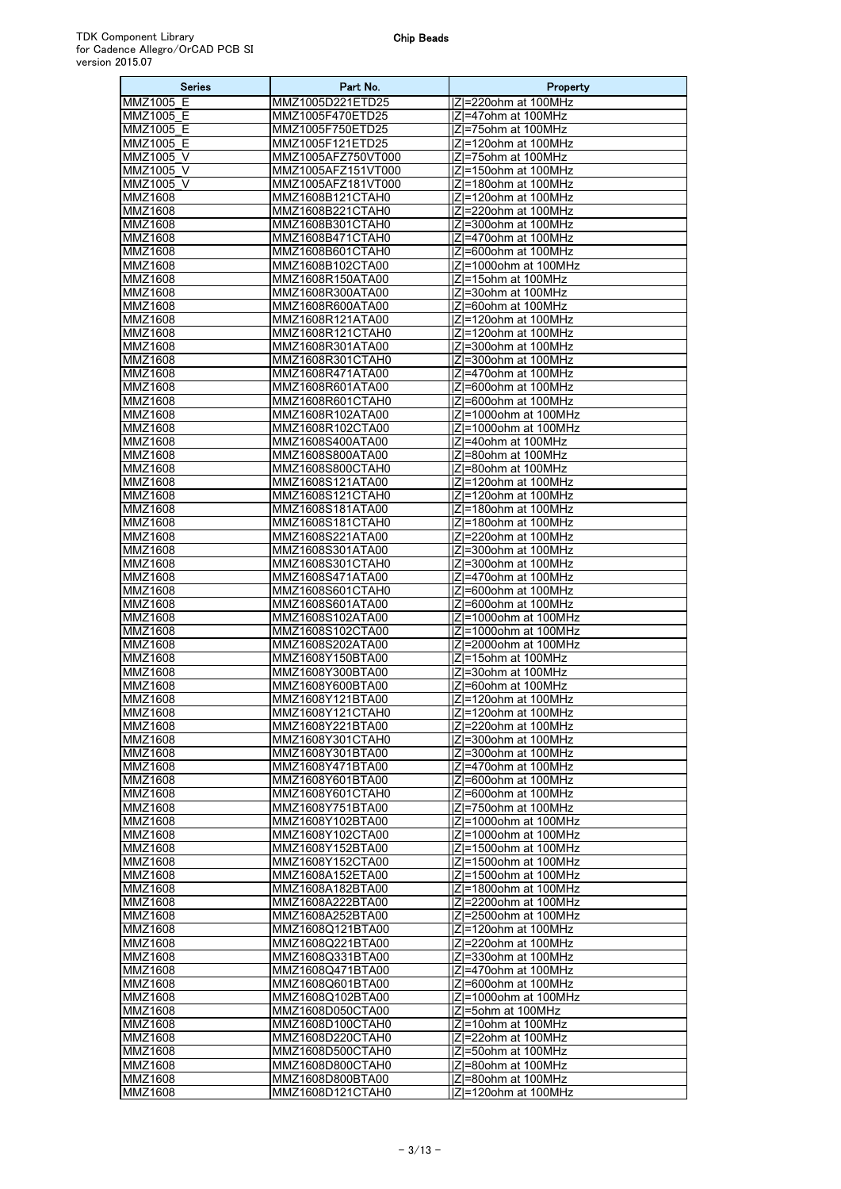| <b>Series</b>             | Part No.                                 | Property                                      |
|---------------------------|------------------------------------------|-----------------------------------------------|
| MMZ1005 E                 | MMZ1005D221ETD25                         | IZI=220ohm at 100MHz                          |
| MMZ1005 E                 | MMZ1005F470ETD25                         | IZI=47ohm at 100MHz                           |
| MMZ1005_E                 | MMZ1005F750ETD25                         | Z =75ohm at 100MHz                            |
| MMZ1005 E                 | MMZ1005F121ETD25                         | IZI=120ohm at 100MHz                          |
| MMZ1005 V                 | MMZ1005AFZ750VT000<br>MMZ1005AFZ151VT000 | IZI=75ohm at 100MHz                           |
| MMZ1005 V<br>MMZ1005 V    | MMZ1005AFZ181VT000                       | IZI=150ohm at 100MHz<br> Z =180ohm at 100MHz  |
| MMZ1608                   | MMZ1608B121CTAH0                         | Z =120ohm at 100MHz                           |
| MMZ1608                   | MMZ1608B221CTAH0                         | IZI=220ohm at 100MHz                          |
| MMZ1608                   | MMZ1608B301CTAH0                         | IZI=300ohm at 100MHz                          |
| MMZ1608                   | MMZ1608B471CTAH0                         | Z =470ohm at 100MHz                           |
| MMZ1608                   | MMZ1608B601CTAH0                         | Z =600ohm at 100MHz                           |
| MMZ1608                   | MMZ1608B102CTA00                         | Z =1000ohm at 100MHz                          |
| MMZ1608                   | MMZ1608R150ATA00                         | IZI=15ohm at 100MHz                           |
| MMZ1608                   | MMZ1608R300ATA00                         | IZI=30ohm at 100MHz                           |
| MMZ1608                   | MMZ1608R600ATA00                         | IZI=60ohm at 100MHz                           |
| MMZ1608<br>MMZ1608        | MMZ1608R121ATA00<br>MMZ1608R121CTAH0     | Z =120ohm at 100MHz<br> Z =120ohm at 100MHz   |
| MMZ1608                   | MMZ1608R301ATA00                         | IZI=300ohm at 100MHz                          |
| MMZ1608                   | MMZ1608R301CTAH0                         | IZI=300ohm at 100MHz                          |
| MMZ1608                   | MMZ1608R471ATA00                         | IZI=470ohm at 100MHz                          |
| MMZ1608                   | MMZ1608R601ATA00                         | IZI=600ohm at 100MHz                          |
| <b>MMZ1608</b>            | MMZ1608R601CTAH0                         | Z =600ohm at 100MHz                           |
| MMZ1608                   | MMZ1608R102ATA00                         | Z =1000ohm at 100MHz                          |
| MMZ1608                   | MMZ1608R102CTA00                         | Z =1000ohm at 100MHz                          |
| MMZ1608<br>MMZ1608        | MMZ1608S400ATA00                         | IZI=40ohm at 100MHz                           |
| <b>MMZ1608</b>            | MMZ1608S800ATA00<br>MMZ1608S800CTAH0     | Z =80ohm at 100MHz<br> Z =80ohm at 100MHz     |
| MMZ1608                   | MMZ1608S121ATA00                         | IZI=120ohm at 100MHz                          |
| MMZ1608                   | MMZ1608S121CTAH0                         | IZI=120ohm at 100MHz                          |
| MMZ1608                   | MMZ1608S181ATA00                         | IZI=180ohm at 100MHz                          |
| MMZ1608                   | MMZ1608S181CTAH0                         | Z =180ohm at 100MHz                           |
| MMZ1608                   | MMZ1608S221ATA00                         | Z =220ohm at 100MHz                           |
| MMZ1608                   | MMZ1608S301ATA00                         | IZI=300ohm at 100MHz                          |
| MMZ1608                   | MMZ1608S301CTAH0                         | Z =300ohm at 100MHz                           |
| MMZ1608<br><b>MMZ1608</b> | MMZ1608S471ATA00<br>MMZ1608S601CTAH0     | IZI=470ohm at 100MHz<br>IZI=600ohm at 100MHz  |
| MMZ1608                   | MMZ1608S601ATA00                         | Z =600ohm at 100MHz                           |
| MMZ1608                   | MMZ1608S102ATA00                         | Z =1000ohm at 100MHz                          |
| MMZ1608                   | MMZ1608S102CTA00                         | Z =1000ohm at 100MHz                          |
| MMZ1608                   | MMZ1608S202ATA00                         | Z =2000ohm at 100MHz                          |
| <b>MMZ1608</b>            | MMZ1608Y150BTA00                         | IZI=15ohm at 100MHz                           |
| MMZ1608                   | MMZ1608Y300BTA00                         | Z =30ohm at 100MHz                            |
| MMZ1608                   | MMZ1608Y600BTA00                         | IZI=60ohm at 100MHz                           |
| MMZ1608<br><b>MMZ1608</b> | MMZ1608Y121BTA00<br>MMZ1608Y121CTAH0     | Z =120ohm at 100MHz<br> Z =120ohm at 100MHz   |
| MMZ1608                   | MMZ1608Y221BTA00                         | Z =220ohm at 100MHz                           |
| MMZ1608                   | MMZ1608Y301CTAH0                         | Z =300ohm at 100MHz                           |
| MMZ1608                   | MMZ1608Y301BTA00                         | Z =300ohm at 100MHz                           |
| MMZ1608                   | MMZ1608Y471BTA00                         | IZI=470ohm at 100MHz                          |
| MMZ1608                   | MMZ1608Y601BTA00                         | IZI=600ohm at 100MHz                          |
| MMZ1608                   | MMZ1608Y601CTAH0                         | IZI=600ohm at 100MHz                          |
| MMZ1608<br>MMZ1608        | MMZ1608Y751BTA00                         | Z =750ohm at 100MHz                           |
| MMZ1608                   | MMZ1608Y102BTA00<br>MMZ1608Y102CTA00     | Z =1000ohm at 100MHz<br> Z =1000ohm at 100MHz |
| MMZ1608                   | MMZ1608Y152BTA00                         | Z =1500ohm at 100MHz                          |
| MMZ1608                   | MMZ1608Y152CTA00                         | Z =1500ohm at 100MHz                          |
| MMZ1608                   | MMZ1608A152ETA00                         | Z =1500ohm at 100MHz                          |
| MMZ1608                   | MMZ1608A182BTA00                         | Z =1800ohm at 100MHz                          |
| MMZ1608                   | MMZ1608A222BTA00                         | Z =2200ohm at 100MHz                          |
| MMZ1608                   | MMZ1608A252BTA00                         | Z =2500ohm at 100MHz                          |
| MMZ1608                   | MMZ1608Q121BTA00                         | IZI=120ohm at 100MHz                          |
| MMZ1608<br>MMZ1608        | MMZ1608Q221BTA00<br>MMZ1608Q331BTA00     | Z =220ohm at 100MHz<br> Z =330ohm at 100MHz   |
| MMZ1608                   | MMZ1608Q471BTA00                         | IZI=470ohm at 100MHz                          |
| MMZ1608                   | MMZ1608Q601BTA00                         | Z =600ohm at 100MHz                           |
| MMZ1608                   | MMZ1608Q102BTA00                         | Z =1000ohm at 100MHz                          |
| MMZ1608                   | MMZ1608D050CTA00                         | Z =5ohm at 100MHz                             |
| MMZ1608                   | MMZ1608D100CTAH0                         | Z =10ohm at 100MHz                            |
| MMZ1608                   | MMZ1608D220CTAH0                         | IZI=22ohm at 100MHz                           |
| MMZ1608<br>MMZ1608        | MMZ1608D500CTAH0<br>MMZ1608D800CTAH0     | Z =50ohm at 100MHz<br>IZI=80ohm at 100MHz     |
| MMZ1608                   | MMZ1608D800BTA00                         | Z =80ohm at 100MHz                            |
| MMZ1608                   | MMZ1608D121CTAH0                         | IZI=120ohm at 100MHz                          |
|                           |                                          |                                               |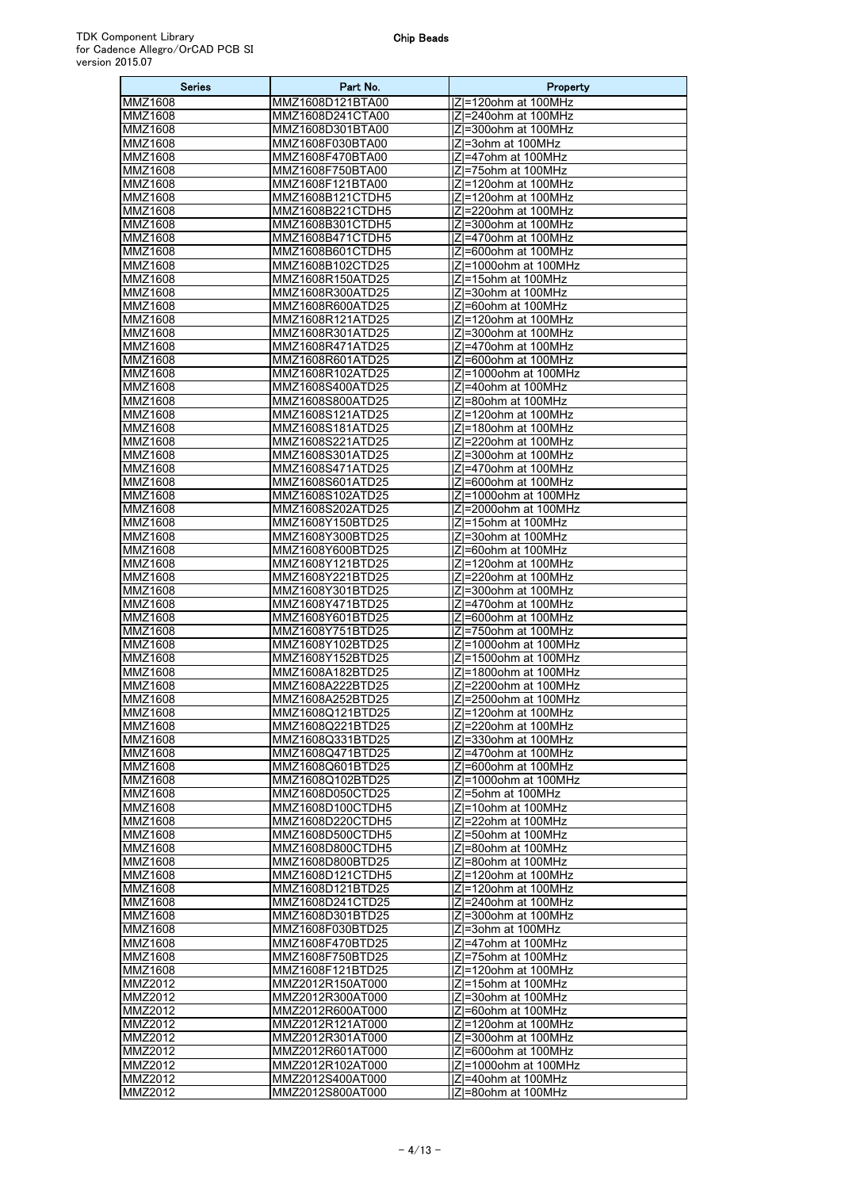| Series                           | Part No.                             | Property                                       |
|----------------------------------|--------------------------------------|------------------------------------------------|
| MMZ1608                          | MMZ1608D121BTA00                     | Z =120ohm at 100MHz                            |
| MMZ1608                          | MMZ1608D241CTA00                     | IZI=240ohm at 100MHz                           |
| MMZ1608                          | MMZ1608D301BTA00                     | IZI=300ohm at 100MHz                           |
| MMZ1608<br>MMZ1608               | MMZ1608F030BTA00<br>MMZ1608F470BTA00 | Z =3ohm at 100MHz<br> Z =47ohm at 100MHz       |
| MMZ1608                          | MMZ1608F750BTA00                     | IZI=75ohm at 100MHz                            |
| MMZ1608                          | MMZ1608F121BTA00                     | IZI=120ohm at 100MHz                           |
| MMZ1608                          | MMZ1608B121CTDH5                     | IZI=120ohm at 100MHz                           |
| MMZ1608                          | MMZ1608B221CTDH5                     | Z =220ohm at 100MHz                            |
| MMZ1608                          | MMZ1608B301CTDH5                     | IZI=300ohm at 100MHz                           |
| MMZ1608                          | MMZ1608B471CTDH5                     | IZI=470ohm at 100MHz                           |
| MMZ1608<br>MMZ1608               | MMZ1608B601CTDH5<br>MMZ1608B102CTD25 | IZI=600ohm at 100MHz<br>IZI=1000ohm at 100MHz  |
| MMZ1608                          | MMZ1608R150ATD25                     | IZI=15ohm at 100MHz                            |
| MMZ1608                          | MMZ1608R300ATD25                     | IZI=30ohm at 100MHz                            |
| MMZ1608                          | MMZ1608R600ATD25                     | IZI=60ohm at 100MHz                            |
| MMZ1608                          | MMZ1608R121ATD25                     | IZI=120ohm at 100MHz                           |
| MMZ1608                          | MMZ1608R301ATD25                     | IZI=300ohm at 100MHz                           |
| MMZ1608                          | MMZ1608R471ATD25                     | Z =470ohm at 100MHz                            |
| MMZ1608                          | MMZ1608R601ATD25                     | IZI=600ohm at 100MHz<br>IZI=1000ohm at 100MHz  |
| MMZ1608<br>MMZ1608               | MMZ1608R102ATD25<br>MMZ1608S400ATD25 | IZI=40ohm at 100MHz                            |
| MMZ1608                          | MMZ1608S800ATD25                     | IZI=80ohm at 100MHz                            |
| MMZ1608                          | MMZ1608S121ATD25                     | IZI=120ohm at 100MHz                           |
| MMZ1608                          | MMZ1608S181ATD25                     | IZI=180ohm at 100MHz                           |
| MMZ1608                          | MMZ1608S221ATD25                     | IZI=220ohm at 100MHz                           |
| MMZ1608                          | MMZ1608S301ATD25                     | IZI=300ohm at 100MHz                           |
| MMZ1608                          | MMZ1608S471ATD25                     | IZI=470ohm at 100MHz                           |
| MMZ1608<br>MMZ1608               | MMZ1608S601ATD25<br>MMZ1608S102ATD25 | Z =600ohm at 100MHz<br>IZI=1000ohm at 100MHz   |
| MMZ1608                          | MMZ1608S202ATD25                     | Z =2000ohm at 100MHz                           |
| MMZ1608                          | MMZ1608Y150BTD25                     | IZI=15ohm at 100MHz                            |
| MMZ1608                          | MMZ1608Y300BTD25                     | IZI=30ohm at 100MHz                            |
| MMZ1608                          | MMZ1608Y600BTD25                     | Z =60ohm at 100MHz                             |
| MMZ1608                          | MMZ1608Y121BTD25                     | IZI=120ohm at 100MHz                           |
| MMZ1608                          | MMZ1608Y221BTD25                     | Z =220ohm at 100MHz                            |
| MMZ1608<br>MMZ1608               | MMZ1608Y301BTD25<br>MMZ1608Y471BTD25 | IZI=300ohm at 100MHz<br>IZI=470ohm at 100MHz   |
| MMZ1608                          | MMZ1608Y601BTD25                     | Z =600ohm at 100MHz                            |
| MMZ1608                          | MMZ1608Y751BTD25                     | Z =750ohm at 100MHz                            |
| MMZ1608                          | MMZ1608Y102BTD25                     | Z =1000ohm at 100MHz                           |
| MMZ1608                          | MMZ1608Y152BTD25                     | Z =1500ohm at 100MHz                           |
| MMZ1608                          | MMZ1608A182BTD25                     | IZI=1800ohm at 100MHz                          |
| MMZ1608                          | MMZ1608A222BTD25                     | Z =2200ohm at 100MHz                           |
| <b>MMZ1608</b><br><b>MMZ1608</b> | MMZ1608A252BTD25<br>MMZ1608Q121BTD25 | $ Z =2500$ ohm at 100MHz<br>Z=120ohm at 100MHz |
| MMZ1608                          | MMZ1608Q221BTD25                     | Z =220ohm at 100MHz                            |
| MMZ1608                          | MMZ1608Q331BTD25                     | IZI=330ohm at 100MHz                           |
| MMZ1608                          | MMZ1608Q471BTD25                     | Z =470ohm at 100MHz                            |
| MMZ1608                          | MMZ1608Q601BTD25                     | IZI=600ohm at 100MHz                           |
| MMZ1608                          | MMZ1608Q102BTD25                     | Z =1000ohm at 100MHz                           |
| MMZ1608                          | MMZ1608D050CTD25<br>MMZ1608D100CTDH5 | Z =5ohm at 100MHz                              |
| MMZ1608<br>MMZ1608               | MMZ1608D220CTDH5                     | Z =10ohm at 100MHz<br> Z =22ohm at 100MHz      |
| MMZ1608                          | MMZ1608D500CTDH5                     | IZI=50ohm at 100MHz                            |
| MMZ1608                          | MMZ1608D800CTDH5                     | Z =80ohm at 100MHz                             |
| MMZ1608                          | MMZ1608D800BTD25                     | Z =80ohm at 100MHz                             |
| MMZ1608                          | MMZ1608D121CTDH5                     | Z =120ohm at 100MHz                            |
| MMZ1608                          | MMZ1608D121BTD25                     | Z =120ohm at 100MHz                            |
| MMZ1608                          | MMZ1608D241CTD25                     | IZI=240ohm at 100MHz                           |
| MMZ1608<br>MMZ1608               | MMZ1608D301BTD25<br>MMZ1608F030BTD25 | Z =300ohm at 100MHz<br>IZI=3ohm at 100MHz      |
| MMZ1608                          | MMZ1608F470BTD25                     | Z =47ohm at 100MHz                             |
| MMZ1608                          | MMZ1608F750BTD25                     | Z =75ohm at 100MHz                             |
| MMZ1608                          | MMZ1608F121BTD25                     | IZI=120ohm at 100MHz                           |
| MMZ2012                          | MMZ2012R150AT000                     | Z =15ohm at 100MHz                             |
| MMZ2012                          | MMZ2012R300AT000                     | IZI=30ohm at 100MHz                            |
| MMZ2012                          | MMZ2012R600AT000                     | Z =60ohm at 100MHz                             |
| MMZ2012<br>MMZ2012               | MMZ2012R121AT000<br>MMZ2012R301AT000 | Z =120ohm at 100MHz<br>IZI=300ohm at 100MHz    |
| MMZ2012                          | MMZ2012R601AT000                     | Z =600ohm at 100MHz                            |
| MMZ2012                          | MMZ2012R102AT000                     | Z =1000ohm at 100MHz                           |
| MMZ2012                          | MMZ2012S400AT000                     | IZI=40ohm at 100MHz                            |
| MMZ2012                          | MMZ2012S800AT000                     | Z =80ohm at 100MHz                             |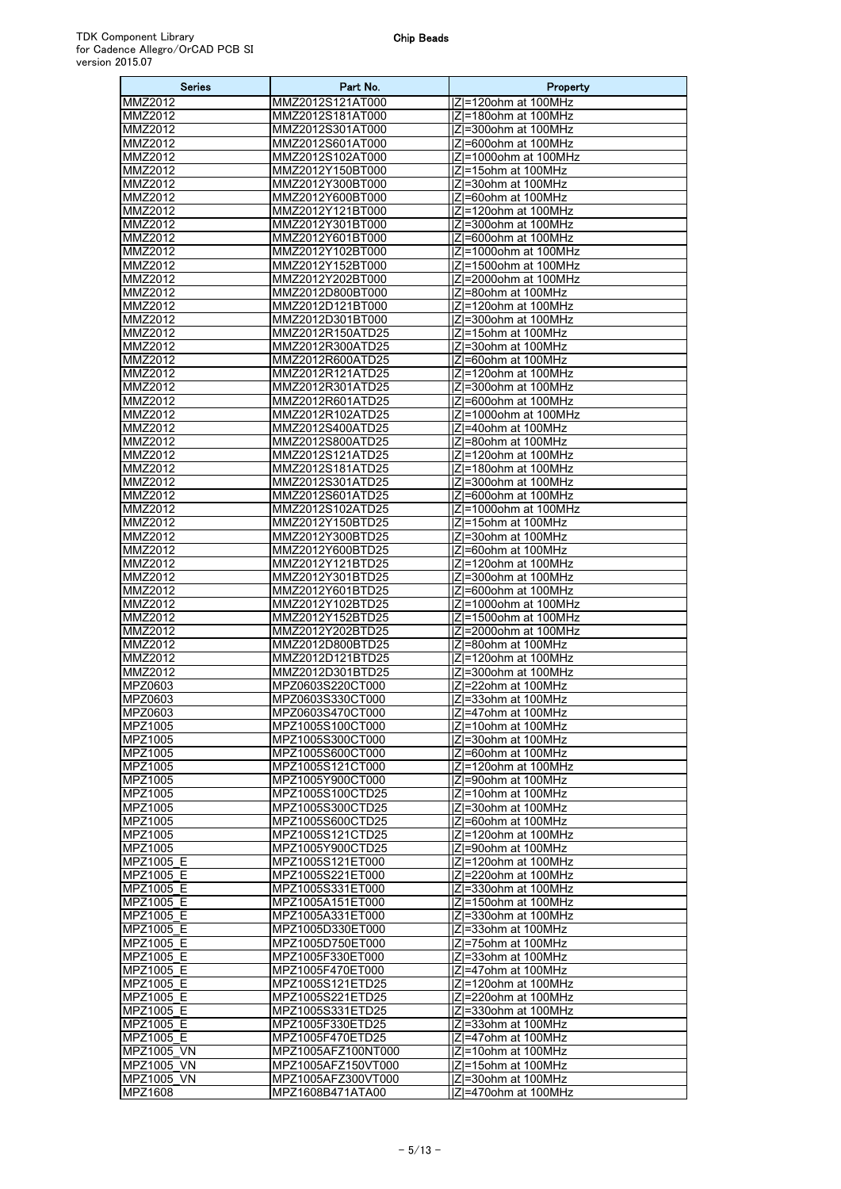| <b>Series</b>          | Part No.                             | Property                                        |
|------------------------|--------------------------------------|-------------------------------------------------|
| MMZ2012                | MMZ2012S121AT000                     | IZI=120ohm at 100MHz                            |
| <b>MMZ2012</b>         | MMZ2012S181AT000                     | $ Z =180$ ohm at 100MHz                         |
| MMZ2012                | MMZ2012S301AT000                     | Z =300ohm at 100MHz                             |
| MMZ2012                | MMZ2012S601AT000                     | IZI=600ohm at 100MHz                            |
| MMZ2012<br>MMZ2012     | MMZ2012S102AT000<br>MMZ2012Y150BT000 | $ Z =1000$ ohm at 100MHz<br>IZI=15ohm at 100MHz |
| <b>MMZ2012</b>         | MMZ2012Y300BT000                     | Z =30ohm at 100MHz                              |
| MMZ2012                | MMZ2012Y600BT000                     | Z =60ohm at 100MHz                              |
| MMZ2012                | MMZ2012Y121BT000                     | IZI=120ohm at 100MHz                            |
| MMZ2012                | MMZ2012Y301BT000                     | Z =300ohm at 100MHz                             |
| MMZ2012                | MMZ2012Y601BT000                     | IZI=600ohm at 100MHz                            |
| <b>MMZ2012</b>         | MMZ2012Y102BT000                     | Z =1000ohm at 100MHz                            |
| MMZ2012                | MMZ2012Y152BT000                     | Z =1500ohm at 100MHz                            |
| MMZ2012                | MMZ2012Y202BT000                     | IZI=2000ohm at 100MHz                           |
| MMZ2012                | MMZ2012D800BT000                     | IZI=80ohm at 100MHz                             |
| MMZ2012<br>MMZ2012     | MMZ2012D121BT000<br>MMZ2012D301BT000 | IZI=120ohm at 100MHz<br>IZI=300ohm at 100MHz    |
| MMZ2012                | MMZ2012R150ATD25                     | Z =15ohm at 100MHz                              |
| MMZ2012                | MMZ2012R300ATD25                     | IZI=30ohm at 100MHz                             |
| MMZ2012                | MMZ2012R600ATD25                     | IZI=60ohm at 100MHz                             |
| MMZ2012                | MMZ2012R121ATD25                     | IZI=120ohm at 100MHz                            |
| MMZ2012                | MMZ2012R301ATD25                     | IZI=300ohm at 100MHz                            |
| MMZ2012                | MMZ2012R601ATD25                     | Z =600ohm at 100MHz                             |
| MMZ2012                | MMZ2012R102ATD25                     | Z =1000ohm at 100MHz                            |
| MMZ2012                | MMZ2012S400ATD25                     | Z =40ohm at 100MHz                              |
| MMZ2012<br>MMZ2012     | MMZ2012S800ATD25<br>MMZ2012S121ATD25 | IZI=80ohm at 100MHz<br> Z =120ohm at 100MHz     |
| MMZ2012                | MMZ2012S181ATD25                     | Z =180ohm at 100MHz                             |
| MMZ2012                | MMZ2012S301ATD25                     | IZI=300ohm at 100MHz                            |
| MMZ2012                | MMZ2012S601ATD25                     | Z =600ohm at 100MHz                             |
| MMZ2012                | MMZ2012S102ATD25                     | Z =1000ohm at 100MHz                            |
| MMZ2012                | MMZ2012Y150BTD25                     | Z =15ohm at 100MHz                              |
| MMZ2012                | MMZ2012Y300BTD25                     | Z =30ohm at 100MHz                              |
| MMZ2012<br>MMZ2012     | MMZ2012Y600BTD25<br>MMZ2012Y121BTD25 | IZI=60ohm at 100MHz<br>$ Z =120$ ohm at 100MHz  |
| MMZ2012                | MMZ2012Y301BTD25                     | IZI=300ohm at 100MHz                            |
| MMZ2012                | MMZ2012Y601BTD25                     | Z =600ohm at 100MHz                             |
| MMZ2012                | MMZ2012Y102BTD25                     | Z =1000ohm at 100MHz                            |
| MMZ2012                | MMZ2012Y152BTD25                     | IZI=1500ohm at 100MHz                           |
| MMZ2012                | MMZ2012Y202BTD25                     | Z =2000ohm at 100MHz                            |
| MMZ2012                | MMZ2012D800BTD25                     | IZI=80ohm at 100MHz                             |
| MMZ2012<br>MMZ2012     | MMZ2012D121BTD25<br>MMZ2012D301BTD25 | Z =120ohm at 100MHz<br> Z =300ohm at 100MHz     |
| MPZ0603                | MPZ0603S220CT000                     | IZI=22ohm at 100MHz                             |
| MPZ0603                | MPZ0603S330CT000                     | IZI=33ohm at 100MHz                             |
| <b>MPZ0603</b>         | MPZ0603S470CT000                     | Z =47ohm at 100MHz                              |
| MPZ1005                | MPZ1005S100CT000                     | Z =10ohm at 100MHz                              |
| MPZ1005                | MPZ1005S300CT000                     | Z =30ohm at 100MHz                              |
| MPZ1005                | MPZ1005S600CT000                     | IZI=60ohm at 100MHz                             |
| MPZ1005<br>MPZ1005     | MPZ1005S121CT000<br>MPZ1005Y900CT000 | IZI=120ohm at 100MHz<br> Z =90ohm at 100MHz     |
| MPZ1005                | MPZ1005S100CTD25                     | IZI=10ohm at 100MHz                             |
| MPZ1005                | MPZ1005S300CTD25                     | Z =30ohm at 100MHz                              |
| MPZ1005                | MPZ1005S600CTD25                     | Z =60ohm at 100MHz                              |
| MPZ1005                | MPZ1005S121CTD25                     | IZI=120ohm at 100MHz                            |
| MPZ1005                | MPZ1005Y900CTD25                     | Z =90ohm at 100MHz                              |
| MPZ1005 E              | MPZ1005S121ET000                     | IZI=120ohm at 100MHz                            |
| MPZ1005_E<br>MPZ1005_E | MPZ1005S221ET000<br>MPZ1005S331ET000 | Z =220ohm at 100MHz<br> Z =330ohm at 100MHz     |
| MPZ1005 E              | MPZ1005A151ET000                     | IZI=150ohm at 100MHz                            |
| MPZ1005_E              | MPZ1005A331ET000                     | Z =330ohm at 100MHz                             |
| MPZ1005 E              | MPZ1005D330ET000                     | IZI=33ohm at 100MHz                             |
| MPZ1005_E              | MPZ1005D750ET000                     | Z =75ohm at 100MHz                              |
| MPZ1005_E              | MPZ1005F330ET000                     | Z =33ohm at 100MHz                              |
| MPZ1005 E              | MPZ1005F470ET000                     | IZI=47ohm at 100MHz                             |
| MPZ1005_E<br>MPZ1005 E | MPZ1005S121ETD25<br>MPZ1005S221ETD25 | Z =120ohm at 100MHz<br> Z =220ohm at 100MHz     |
| MPZ1005_E              | MPZ1005S331ETD25                     | Z =330ohm at 100MHz                             |
| MPZ1005_E              | MPZ1005F330ETD25                     | Z =33ohm at 100MHz                              |
| MPZ1005 E              | MPZ1005F470ETD25                     | IZI=47ohm at 100MHz                             |
| MPZ1005_VN             | MPZ1005AFZ100NT000                   | Z =10ohm at 100MHz                              |
| MPZ1005 VN             | MPZ1005AFZ150VT000                   | IZI=15ohm at 100MHz                             |
| MPZ1005 VN             | MPZ1005AFZ300VT000                   | Z =30ohm at 100MHz                              |
| MPZ1608                | MPZ1608B471ATA00                     | IZI=470ohm at 100MHz                            |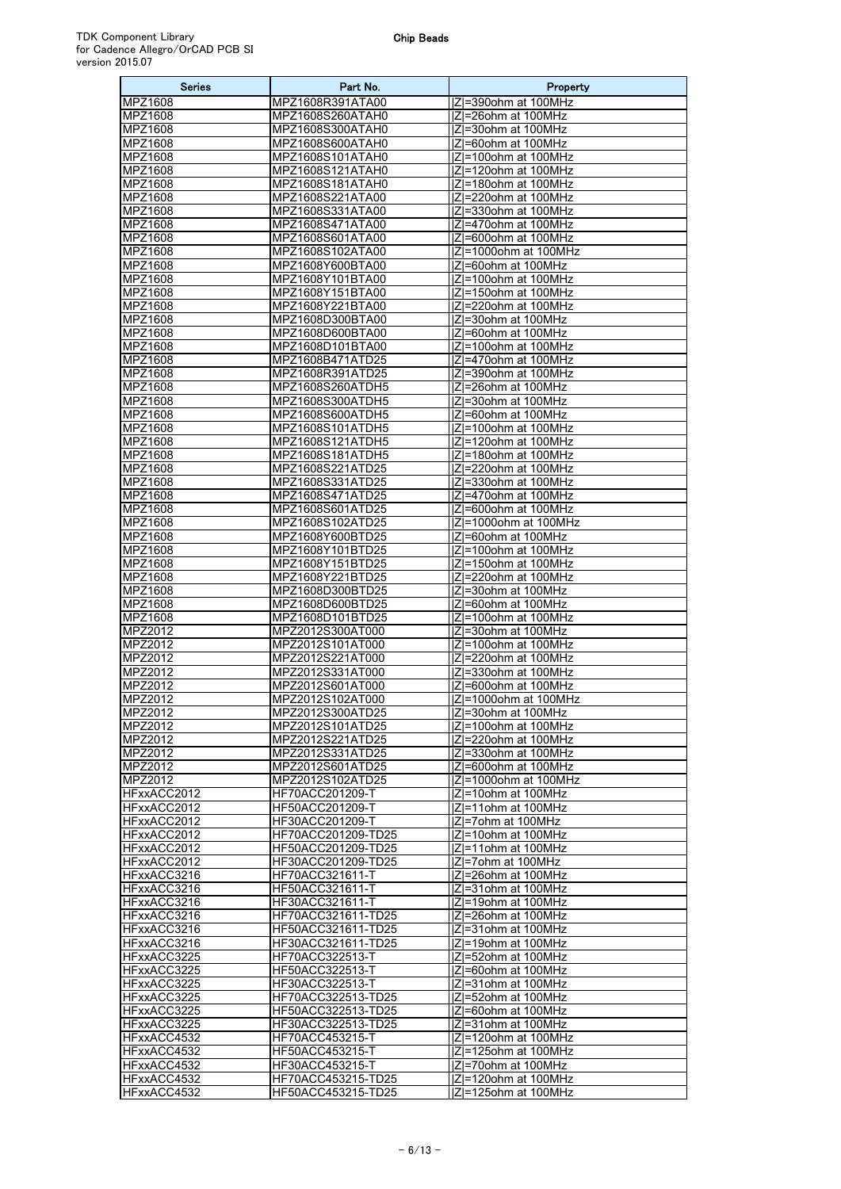| <b>Series</b>              | Part No.                                   | Property                                      |
|----------------------------|--------------------------------------------|-----------------------------------------------|
| <b>MPZ1608</b>             | MPZ1608R391ATA00                           | IZI=390ohm at 100MHz                          |
| MPZ1608                    | MPZ1608S260ATAH0                           | Z =26ohm at 100MHz                            |
| MPZ1608<br><b>MPZ1608</b>  | MPZ1608S300ATAH0                           | IZI=30ohm at 100MHz                           |
| MPZ1608                    | MPZ1608S600ATAH0<br>MPZ1608S101ATAH0       | IZI=60ohm at 100MHz<br>IZI=100ohm at 100MHz   |
| MPZ1608                    | MPZ1608S121ATAH0                           | Z =120ohm at 100MHz                           |
| <b>MPZ1608</b>             | MPZ1608S181ATAH0                           | $ Z $ =180ohm at 100MHz                       |
| MPZ1608                    | MPZ1608S221ATA00                           | IZI=220ohm at 100MHz                          |
| <b>MPZ1608</b>             | MPZ1608S331ATA00                           | IZI=330ohm at 100MHz                          |
| MPZ1608                    | MPZ1608S471ATA00                           | IZI=470ohm at 100MHz                          |
| MPZ1608<br><b>MPZ1608</b>  | MPZ1608S601ATA00<br>MPZ1608S102ATA00       | IZI=600ohm at 100MHz<br> Z =1000ohm at 100MHz |
| MPZ1608                    | MPZ1608Y600BTA00                           | IZI=60ohm at 100MHz                           |
| MPZ1608                    | MPZ1608Y101BTA00                           | IZI=100ohm at 100MHz                          |
| MPZ1608                    | MPZ1608Y151BTA00                           | IZI=150ohm at 100MHz                          |
| MPZ1608                    | MPZ1608Y221BTA00                           | Z =220ohm at 100MHz                           |
| <b>MPZ1608</b>             | MPZ1608D300BTA00                           | IZI=30ohm at 100MHz                           |
| MPZ1608                    | MPZ1608D600BTA00                           | IZI=60ohm at 100MHz                           |
| MPZ1608                    | MPZ1608D101BTA00<br>MPZ1608B471ATD25       | IZI=100ohm at 100MHz                          |
| MPZ1608<br>MPZ1608         | MPZ1608R391ATD25                           | IZI=470ohm at 100MHz<br>IZI=390ohm at 100MHz  |
| <b>MPZ1608</b>             | MPZ1608S260ATDH5                           | IZI=26ohm at 100MHz                           |
| MPZ1608                    | MPZ1608S300ATDH5                           | IZI=30ohm at 100MHz                           |
| MPZ1608                    | MPZ1608S600ATDH5                           | IZI=60ohm at 100MHz                           |
| MPZ1608                    | MPZ1608S101ATDH5                           | IZI=100ohm at 100MHz                          |
| MPZ1608                    | MPZ1608S121ATDH5                           | Z =120ohm at 100MHz                           |
| <b>MPZ1608</b>             | MPZ1608S181ATDH5                           | IZI=180ohm at 100MHz                          |
| <b>MPZ1608</b><br>MPZ1608  | MPZ1608S221ATD25<br>MPZ1608S331ATD25       | IZI=220ohm at 100MHz<br>IZI=330ohm at 100MHz  |
| MPZ1608                    | MPZ1608S471ATD25                           | IZI=470ohm at 100MHz                          |
| MPZ1608                    | MPZ1608S601ATD25                           | IZI=600ohm at 100MHz                          |
| <b>MPZ1608</b>             | MPZ1608S102ATD25                           | Z =1000ohm at 100MHz                          |
| MPZ1608                    | MPZ1608Y600BTD25                           | IZI=60ohm at 100MHz                           |
| MPZ1608                    | MPZ1608Y101BTD25                           | IZI=100ohm at 100MHz                          |
| MPZ1608                    | MPZ1608Y151BTD25                           | IZI=150ohm at 100MHz                          |
| MPZ1608<br><b>MPZ1608</b>  | MPZ1608Y221BTD25<br>MPZ1608D300BTD25       | Z =220ohm at 100MHz<br>IZI=30ohm at 100MHz    |
| MPZ1608                    | MPZ1608D600BTD25                           | IZI=60ohm at 100MHz                           |
| MPZ1608                    | MPZ1608D101BTD25                           | IZI=100ohm at 100MHz                          |
| MPZ2012                    | MPZ2012S300AT000                           | IZI=30ohm at 100MHz                           |
| MPZ2012                    | MPZ2012S101AT000                           | IZI=100ohm at 100MHz                          |
| MPZ2012                    | MPZ2012S221AT000                           | Z =220ohm at 100MHz                           |
| MPZ2012<br>MPZ2012         | MPZ2012S331AT000<br>MPZ2012S601AT000       | IZI=330ohm at 100MHz<br>IZI=600ohm at 100MHz  |
| MPZ2012                    | MPZ2012S102AT000                           | Z =1000ohm at 100MHz                          |
| MPZ2012                    | MPZ2012S300ATD25                           | Z =300nm at 100MHz                            |
| MPZ2012                    | MPZ2012S101ATD25                           | $ Z =100$ ohm at 100MHz                       |
| MPZ2012                    | MPZ2012S221ATD25                           | Z =220ohm at 100MHz                           |
| MPZ2012                    | MPZ2012S331ATD25                           | Z =330ohm at 100MHz                           |
| MPZ2012                    | MPZ2012S601ATD25                           | IZI=600ohm at 100MHz                          |
| MPZ2012<br>HFxxACC2012     | MPZ2012S102ATD25<br><b>HF70ACC201209-T</b> | Z =1000ohm at 100MHz<br>IZI=10ohm at 100MHz   |
| HFxxACC2012                | HF50ACC201209-T                            | IZI=11ohm at 100MHz                           |
| HFxxACC2012                | HF30ACC201209-T                            | Z =7ohm at 100MHz                             |
| HFxxACC2012                | HF70ACC201209-TD25                         | IZI=10ohm at 100MHz                           |
| HFxxACC2012                | HF50ACC201209-TD25                         | Z =11ohm at 100MHz                            |
| HFxxACC2012                | HF30ACC201209-TD25                         | IZI=7ohm at 100MHz                            |
| HFxxACC3216                | HF70ACC321611-T                            | ZI=26ohm at 100MHz<br> Z =31ohm at 100MHz     |
| HFxxACC3216<br>HFxxACC3216 | HF50ACC321611-T<br>HF30ACC321611-T         | IZI=19ohm at 100MHz                           |
| HFxxACC3216                | HF70ACC321611-TD25                         | Z =26ohm at 100MHz                            |
| HFxxACC3216                | HF50ACC321611-TD25                         | IZI=31ohm at 100MHz                           |
| HFxxACC3216                | HF30ACC321611-TD25                         | IZI=19ohm at 100MHz                           |
| HFxxACC3225                | HF70ACC322513-T                            | Z =52ohm at 100MHz                            |
| HFxxACC3225                | HF50ACC322513-T                            | IZI=60ohm at 100MHz                           |
| HFxxACC3225<br>HFxxACC3225 | HF30ACC322513-T<br>HF70ACC322513-TD25      | Z =31ohm at 100MHz<br>IZI=52ohm at 100MHz     |
| HFxxACC3225                | HF50ACC322513-TD25                         | ZI=60ohm at 100MHz                            |
| HFxxACC3225                | HF30ACC322513-TD25                         | Z =31ohm at 100MHz                            |
| HFxxACC4532                | HF70ACC453215-T                            | IZI=120ohm at 100MHz                          |
| HFxxACC4532                | HF50ACC453215-T                            | Z =125ohm at 100MHz                           |
| HFxxACC4532                | <b>HF30ACC453215-T</b>                     | IZI=70ohm at 100MHz                           |
| HFxxACC4532                | HF70ACC453215-TD25                         | IZI=120ohm at 100MHz                          |
| HFxxACC4532                | HF50ACC453215-TD25                         | IZI=125ohm at 100MHz                          |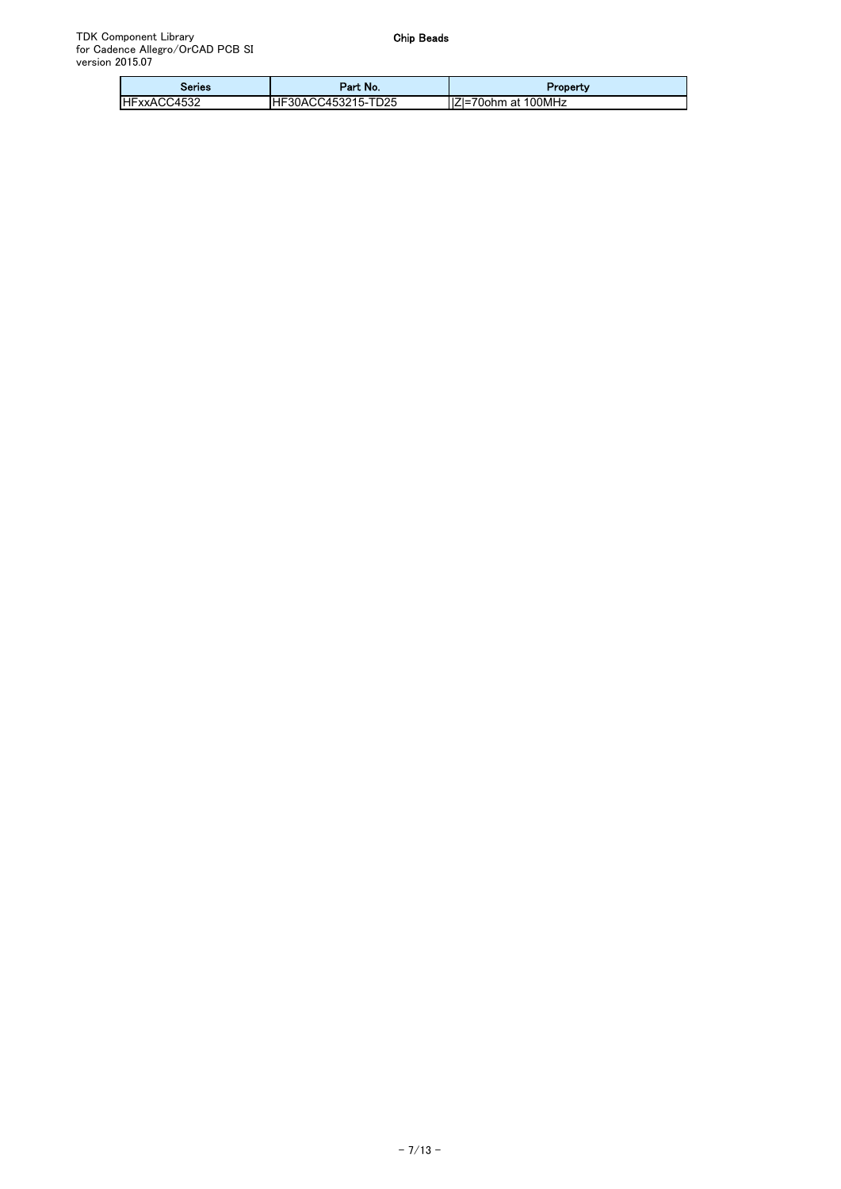| Series              | Part No.           | Property             |
|---------------------|--------------------|----------------------|
| <b>IHFxxACC4532</b> | HF30ACC453215-TD25 | IIZI=70ohm at 100MHz |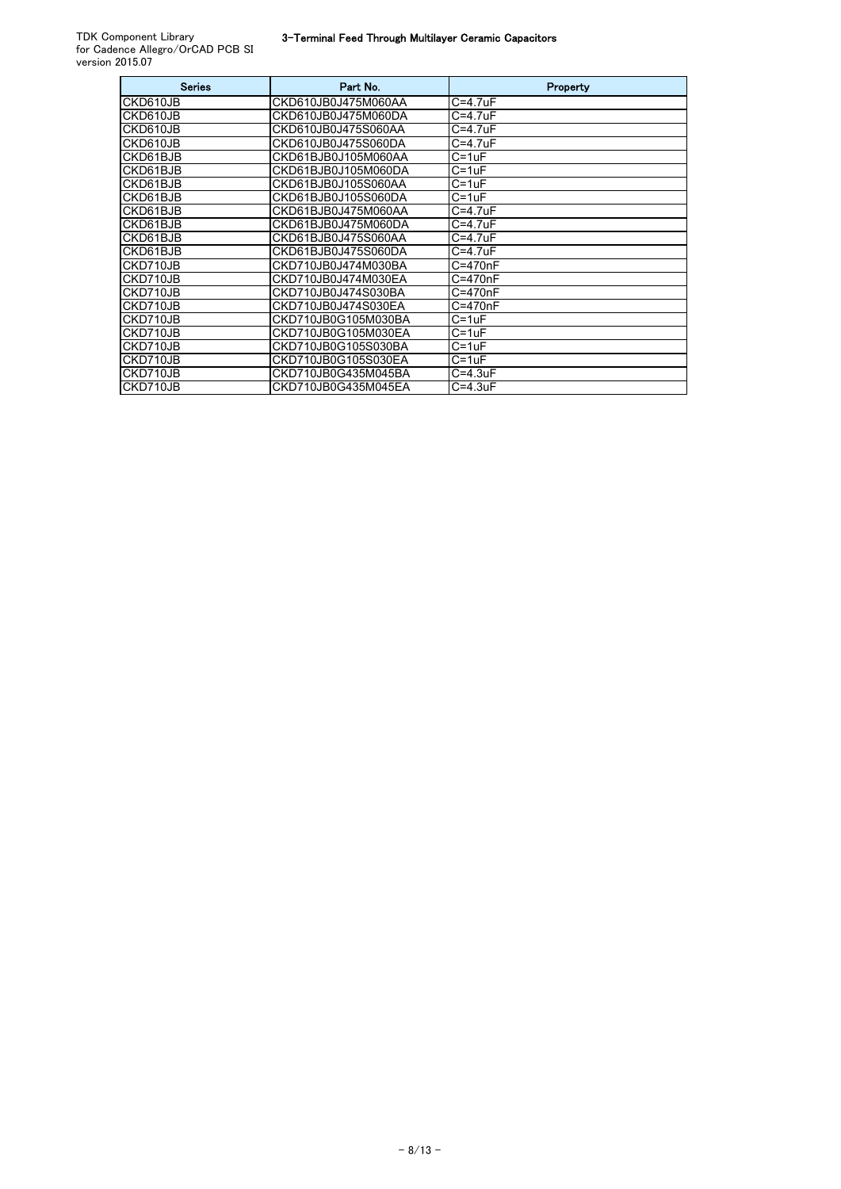| <b>Series</b> | Part No.            | Property     |
|---------------|---------------------|--------------|
| CKD610JB      | CKD610JB0J475M060AA | C=4.7uF      |
| CKD610JB      | CKD610JB0J475M060DA | C=4.7uF      |
| CKD610JB      | CKD610JB0J475S060AA | C=4.7uF      |
| CKD610JB      | CKD610JB0J475S060DA | C=4.7uF      |
| CKD61BJB      | CKD61BJB0J105M060AA | C=1uF        |
| CKD61BJB      | CKD61BJB0J105M060DA | C=1uF        |
| CKD61BJB      | CKD61BJB0J105S060AA | C=1uF        |
| CKD61BJB      | CKD61BJB0J105S060DA | C=1uF        |
| CKD61BJB      | CKD61BJB0J475M060AA | $C = 4.7$ uF |
| CKD61BJB      | CKD61BJB0J475M060DA | C=4.7uF      |
| CKD61BJB      | CKD61BJB0J475S060AA | C=4.7uF      |
| CKD61BJB      | CKD61BJB0J475S060DA | C=4.7uF      |
| CKD710JB      | CKD710JB0J474M030BA | C=470nF      |
| CKD710JB      | CKD710JB0J474M030EA | C=470nF      |
| CKD710JB      | CKD710JB0J474S030BA | C=470nF      |
| CKD710JB      | CKD710JB0J474S030EA | C=470nF      |
| CKD710JB      | CKD710JB0G105M030BA | C=1uF        |
| CKD710JB      | CKD710JB0G105M030EA | C=1uF        |
| CKD710JB      | CKD710JB0G105S030BA | C=1uF        |
| CKD710JB      | CKD710JB0G105S030EA | C=1uF        |
| CKD710JB      | CKD710JB0G435M045BA | $C = 4.3$ uF |
| CKD710JB      | CKD710JB0G435M045EA | $C = 4.3$ uF |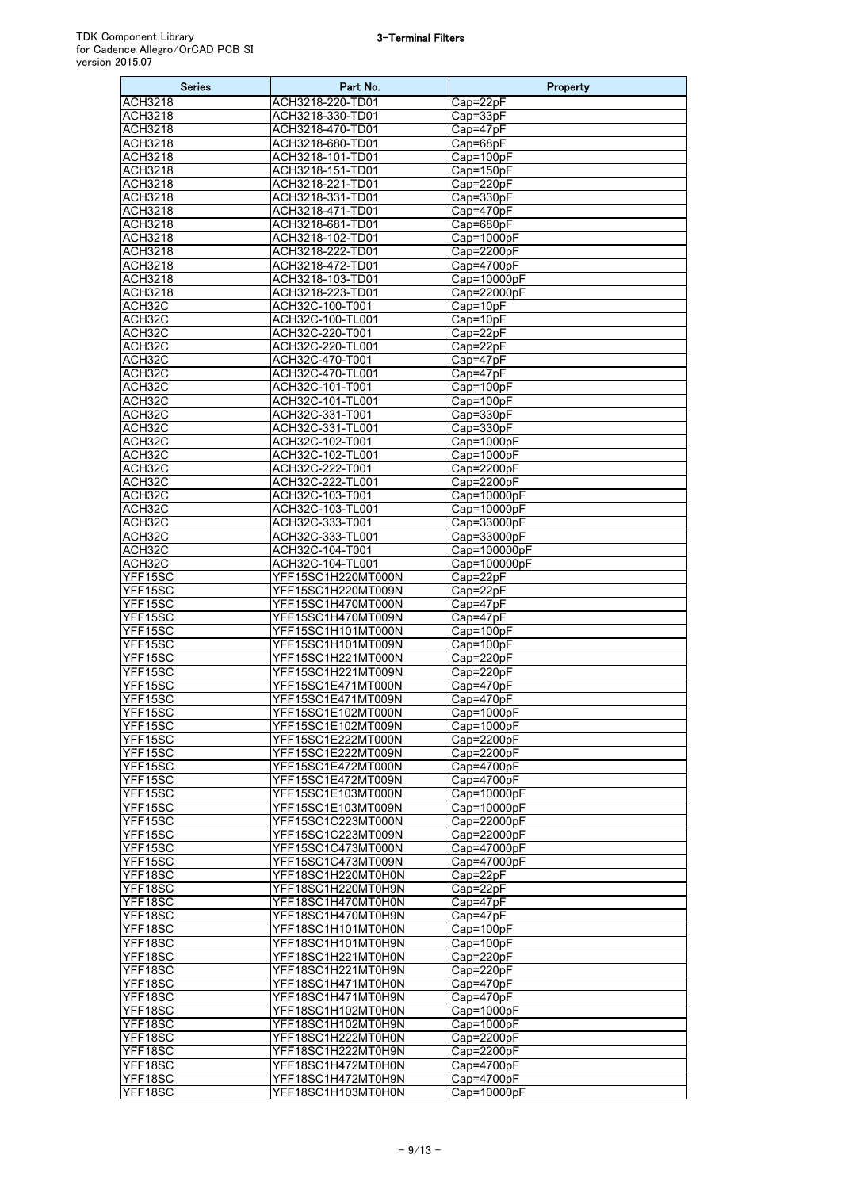| <b>Series</b>  | Part No.           | Property     |
|----------------|--------------------|--------------|
| <b>ACH3218</b> | ACH3218-220-TD01   | Cap=22pF     |
| <b>ACH3218</b> | ACH3218-330-TD01   | Cap=33pF     |
| ACH3218        | ACH3218-470-TD01   | Cap=47pF     |
| <b>ACH3218</b> | ACH3218-680-TD01   | Cap=68pF     |
| <b>ACH3218</b> | ACH3218-101-TD01   | Cap=100pF    |
| <b>ACH3218</b> | ACH3218-151-TD01   | Cap=150pF    |
| <b>ACH3218</b> | ACH3218-221-TD01   | Cap=220pF    |
| <b>ACH3218</b> | ACH3218-331-TD01   | Cap=330pF    |
| <b>ACH3218</b> | ACH3218-471-TD01   | Cap=470pF    |
| ACH3218        | ACH3218-681-TD01   | Cap=680pF    |
| <b>ACH3218</b> | ACH3218-102-TD01   | Cap=1000pF   |
| <b>ACH3218</b> | ACH3218-222-TD01   | Cap=2200pF   |
| <b>ACH3218</b> |                    |              |
|                | ACH3218-472-TD01   | Cap=4700pF   |
| <b>ACH3218</b> | ACH3218-103-TD01   | Cap=10000pF  |
| ACH3218        | ACH3218-223-TD01   | Cap=22000pF  |
| ACH32C         | ACH32C-100-T001    | Cap=10pF     |
| ACH32C         | ACH32C-100-TL001   | Cap=10pF     |
| ACH32C         | ACH32C-220-T001    | Cap=22pF     |
| ACH32C         | ACH32C-220-TL001   | Cap=22pF     |
| ACH32C         | ACH32C-470-T001    | Cap=47pF     |
| ACH32C         | ACH32C-470-TL001   | Cap=47pF     |
| ACH32C         | ACH32C-101-T001    | Cap=100pF    |
| ACH32C         | ACH32C-101-TL001   | Cap=100pF    |
| ACH32C         | ACH32C-331-T001    | Cap=330pF    |
| ACH32C         | ACH32C-331-TL001   | Cap=330pF    |
| ACH32C         | ACH32C-102-T001    | Cap=1000pF   |
| ACH32C         | ACH32C-102-TL001   | Cap=1000pF   |
|                |                    |              |
| ACH32C         | ACH32C-222-T001    | Cap=2200pF   |
| ACH32C         | ACH32C-222-TL001   | Cap=2200pF   |
| ACH32C         | ACH32C-103-T001    | Cap=10000pF  |
| ACH32C         | ACH32C-103-TL001   | Cap=10000pF  |
| ACH32C         | ACH32C-333-T001    | Cap=33000pF  |
| ACH32C         | ACH32C-333-TL001   | Cap=33000pF  |
| ACH32C         | ACH32C-104-T001    | Cap=100000pF |
| ACH32C         | ACH32C-104-TL001   | Cap=100000pF |
| YFF15SC        | YFF15SC1H220MT000N | Cap=22pF     |
| YFF15SC        | YFF15SC1H220MT009N | Cap=22pF     |
| YFF15SC        | YFF15SC1H470MT000N | Cap=47pF     |
| YFF15SC        | YFF15SC1H470MT009N | Cap=47pF     |
| YFF15SC        | YFF15SC1H101MT000N | Cap=100pF    |
| YFF15SC        | YFF15SC1H101MT009N | Cap=100pF    |
|                |                    |              |
| YFF15SC        | YFF15SC1H221MT000N | Cap=220pF    |
| YFF15SC        | YFF15SC1H221MT009N | Cap=220pF    |
| YFF15SC        | YFF15SC1E471MT000N | Cap=470pF    |
| YFF15SC        | YFF15SC1E471MT009N | Cap=470pF    |
| YFF15SC        | YFF15SC1E102MT000N | Cap=1000pF   |
| YFF15SC        | YFF15SC1E102MT009N | Cap=1000pF   |
| YFF15SC        | YFF15SC1E222MT000N | Cap=2200pF   |
| YFF15SC        | YFF15SC1E222MT009N | Cap=2200pF   |
| YFF15SC        | YFF15SC1E472MT000N | Cap=4700pF   |
| YFF15SC        | YFF15SC1E472MT009N | Cap=4700pF   |
| YFF15SC        | YFF15SC1E103MT000N | Cap=10000pF  |
| YFF15SC        | YFF15SC1E103MT009N | Cap=10000pF  |
| YFF15SC        | YFF15SC1C223MT000N | Cap=22000pF  |
| YFF15SC        | YFF15SC1C223MT009N | Cap=22000pF  |
| YFF15SC        | YFF15SC1C473MT000N | Cap=47000pF  |
|                |                    |              |
| YFF15SC        | YFF15SC1C473MT009N | Cap=47000pF  |
| YFF18SC        | YFF18SC1H220MT0H0N | Cap=22pF     |
| YFF18SC        | YFF18SC1H220MT0H9N | Cap=22pF     |
| YFF18SC        | YFF18SC1H470MT0H0N | Cap=47pF     |
| YFF18SC        | YFF18SC1H470MT0H9N | $Cap=47pF$   |
| YFF18SC        | YFF18SC1H101MT0H0N | Cap=100pF    |
| YFF18SC        | YFF18SC1H101MT0H9N | Cap=100pF    |
| YFF18SC        | YFF18SC1H221MT0H0N | Cap=220pF    |
| YFF18SC        | YFF18SC1H221MT0H9N | Cap=220pF    |
| YFF18SC        | YFF18SC1H471MT0H0N | Cap=470pF    |
| YFF18SC        | YFF18SC1H471MT0H9N | Cap=470pF    |
| YFF18SC        | YFF18SC1H102MT0H0N | Cap=1000pF   |
| YFF18SC        | YFF18SC1H102MT0H9N | Cap=1000pF   |
|                |                    |              |
| YFF18SC        | YFF18SC1H222MT0H0N | Cap=2200pF   |
| YFF18SC        | YFF18SC1H222MT0H9N | Cap=2200pF   |
| YFF18SC        | YFF18SC1H472MT0H0N | Cap=4700pF   |
| YFF18SC        | YFF18SC1H472MT0H9N | Cap=4700pF   |
| YFF18SC        | YFF18SC1H103MT0H0N | Cap=10000pF  |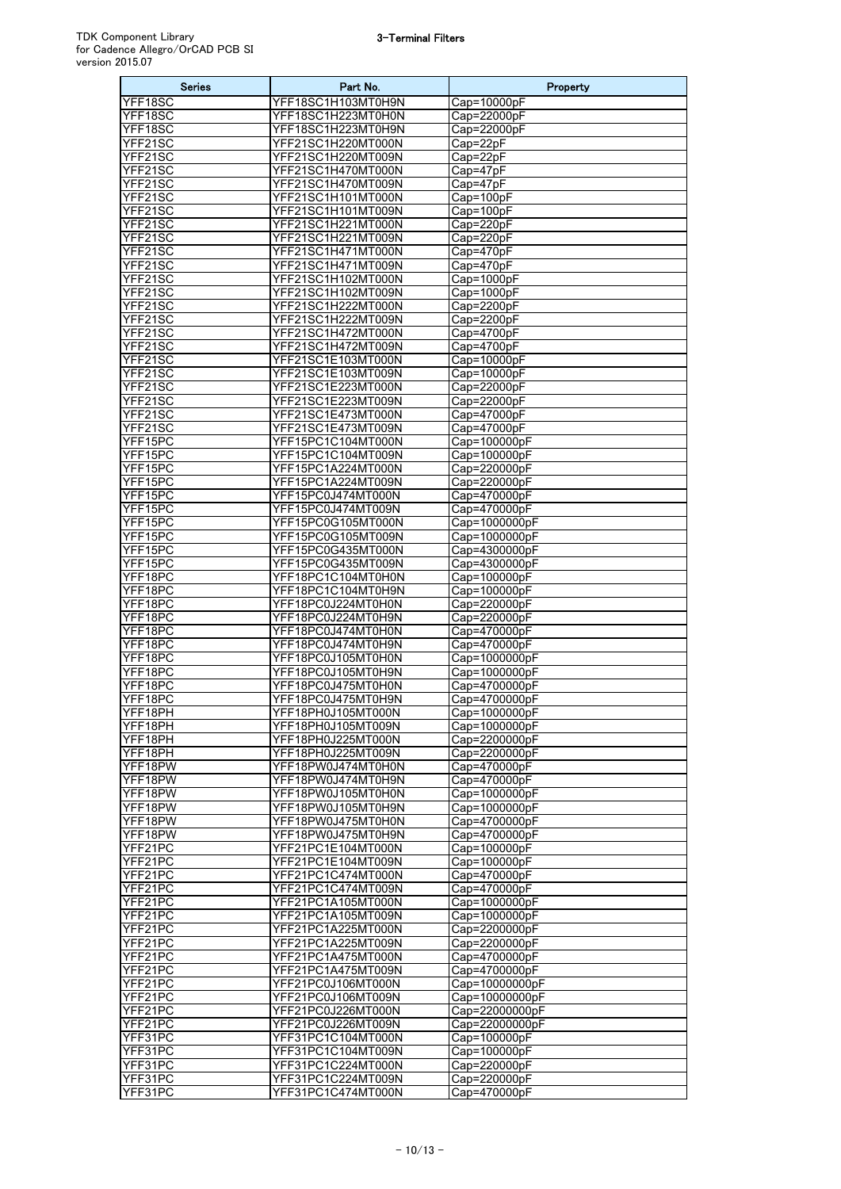| <b>Series</b>      | Part No.                                 | Property                       |
|--------------------|------------------------------------------|--------------------------------|
| YFF18SC            | YFF18SC1H103MT0H9N                       | Cap=10000pF                    |
| YFF18SC            | YFF18SC1H223MT0H0N                       | Cap=22000pF                    |
| YFF18SC            | YFF18SC1H223MT0H9N                       | Cap=22000pF                    |
| YFF21SC            | YFF21SC1H220MT000N                       | Cap=22pF                       |
| YFF21SC            | YFF21SC1H220MT009N                       | Cap=22pF                       |
| YFF21SC            | YFF21SC1H470MT000N                       | Cap=47pF                       |
| YFF21SC            | YFF21SC1H470MT009N                       | $Cap=47pF$                     |
| YFF21SC            | YFF21SC1H101MT000N                       | Cap=100pF                      |
| YFF21SC<br>YFF21SC | YFF21SC1H101MT009N<br>YFF21SC1H221MT000N | Cap=100pF<br>Cap=220pF         |
| YFF21SC            | YFF21SC1H221MT009N                       | Cap=220pF                      |
| YFF21SC            | YFF21SC1H471MT000N                       | Cap=470pF                      |
| YFF21SC            | YFF21SC1H471MT009N                       | Cap=470pF                      |
| YFF21SC            | YFF21SC1H102MT000N                       | Cap=1000pF                     |
| YFF21SC            | YFF21SC1H102MT009N                       | Cap=1000pF                     |
| YFF21SC            | YFF21SC1H222MT000N                       | Cap=2200pF                     |
| YFF21SC            | YFF21SC1H222MT009N                       | Cap=2200pF                     |
| YFF21SC            | YFF21SC1H472MT000N                       | Cap=4700pF                     |
| YFF21SC            | YFF21SC1H472MT009N                       | Cap=4700pF                     |
| YFF21SC            | YFF21SC1E103MT000N                       | Cap=10000pF                    |
| YFF21SC            | YFF21SC1E103MT009N                       | Cap=10000pF                    |
| YFF21SC            | YFF21SC1E223MT000N                       | Cap=22000pF                    |
| YFF21SC<br>YFF21SC | YFF21SC1E223MT009N                       | Cap=22000pF                    |
| YFF21SC            | YFF21SC1E473MT000N<br>YFF21SC1E473MT009N | Cap=47000pF<br>Cap=47000pF     |
| YFF15PC            | YFF15PC1C104MT000N                       | Cap=100000pF                   |
| YFF15PC            | YFF15PC1C104MT009N                       | Cap=100000pF                   |
| YFF15PC            | YFF15PC1A224MT000N                       | Cap=220000pF                   |
| YFF15PC            | YFF15PC1A224MT009N                       | Cap=220000pF                   |
| YFF15PC            | YFF15PC0J474MT000N                       | Cap=470000pF                   |
| YFF15PC            | YFF15PC0J474MT009N                       | Cap=470000pF                   |
| YFF15PC            | YFF15PC0G105MT000N                       | Cap=1000000pF                  |
| YFF15PC            | YFF15PC0G105MT009N                       | Cap=1000000pF                  |
| YFF15PC            | YFF15PC0G435MT000N                       | Cap=4300000pF                  |
| YFF15PC            | YFF15PC0G435MT009N                       | Cap=4300000pF                  |
| YFF18PC            | YFF18PC1C104MT0H0N                       | Cap=100000pF                   |
| YFF18PC            | YFF18PC1C104MT0H9N                       | Cap=100000pF                   |
| YFF18PC<br>YFF18PC | YFF18PC0J224MT0H0N<br>YFF18PC0J224MT0H9N | Cap=220000pF<br>Cap=220000pF   |
| YFF18PC            | YFF18PC0J474MT0H0N                       | Cap=470000pF                   |
| YFF18PC            | YFF18PC0J474MT0H9N                       | Cap=470000pF                   |
| YFF18PC            | YFF18PC0J105MT0H0N                       | Cap=1000000pF                  |
| YFF18PC            | YFF18PC0J105MT0H9N                       | Cap=1000000pF                  |
| YFF18PC            | YFF18PC0J475MT0H0N                       | Cap=4700000pF                  |
| YFF18PC            | YFF18PC0J475MT0H9N                       | Cap=4700000pF                  |
| YFF18PH            | YFF18PH0J105MT000N                       | Cap=1000000pF                  |
| YFF18PH            | YFF18PH0J105MT009N                       | Cap=1000000pF                  |
| YFF18PH            | YFF18PH0J225MT000N                       | Cap=2200000pF                  |
| YFF18PH<br>YFF18PW | YFF18PH0J225MT009N<br>YFF18PW0J474MT0H0N | Cap=2200000pF<br>Cap=470000pF  |
| YFF18PW            | YFF18PW0J474MT0H9N                       | Cap=470000pF                   |
| YFF18PW            | YFF18PW0J105MT0H0N                       | Cap=1000000pF                  |
| YFF18PW            | YFF18PW0J105MT0H9N                       | Cap=1000000pF                  |
| YFF18PW            | YFF18PW0J475MT0H0N                       | Cap=4700000pF                  |
| YFF18PW            | YFF18PW0J475MT0H9N                       | Cap=4700000pF                  |
| YFF21PC            | YFF21PC1E104MT000N                       | Cap=100000pF                   |
| YFF21PC            | YFF21PC1E104MT009N                       | Cap=100000pF                   |
| YFF21PC            | YFF21PC1C474MT000N                       | Cap=470000pF                   |
| YFF21PC            | YFF21PC1C474MT009N                       | Cap=470000pF                   |
| YFF21PC            | YFF21PC1A105MT000N                       | Cap=1000000pF                  |
| YFF21PC            | YFF21PC1A105MT009N                       | Cap=1000000pF                  |
| YFF21PC<br>YFF21PC | YFF21PC1A225MT000N<br>YFF21PC1A225MT009N | Cap=2200000pF<br>Cap=2200000pF |
| YFF21PC            | YFF21PC1A475MT000N                       | Cap=4700000pF                  |
| YFF21PC            | YFF21PC1A475MT009N                       | Cap=4700000pF                  |
| YFF21PC            | YFF21PC0J106MT000N                       | Cap=10000000pF                 |
| YFF21PC            | YFF21PC0J106MT009N                       | Cap=10000000pF                 |
| YFF21PC            | YFF21PC0J226MT000N                       | Cap=22000000pF                 |
| YFF21PC            | YFF21PC0J226MT009N                       | Cap=22000000pF                 |
| YFF31PC            | YFF31PC1C104MT000N                       | Cap=100000pF                   |
| YFF31PC            | YFF31PC1C104MT009N                       | Cap=100000pF                   |
| YFF31PC            | YFF31PC1C224MT000N                       | Cap=220000pF                   |
| YFF31PC            | YFF31PC1C224MT009N                       | Cap=220000pF                   |
| YFF31PC            | YFF31PC1C474MT000N                       | Cap=470000pF                   |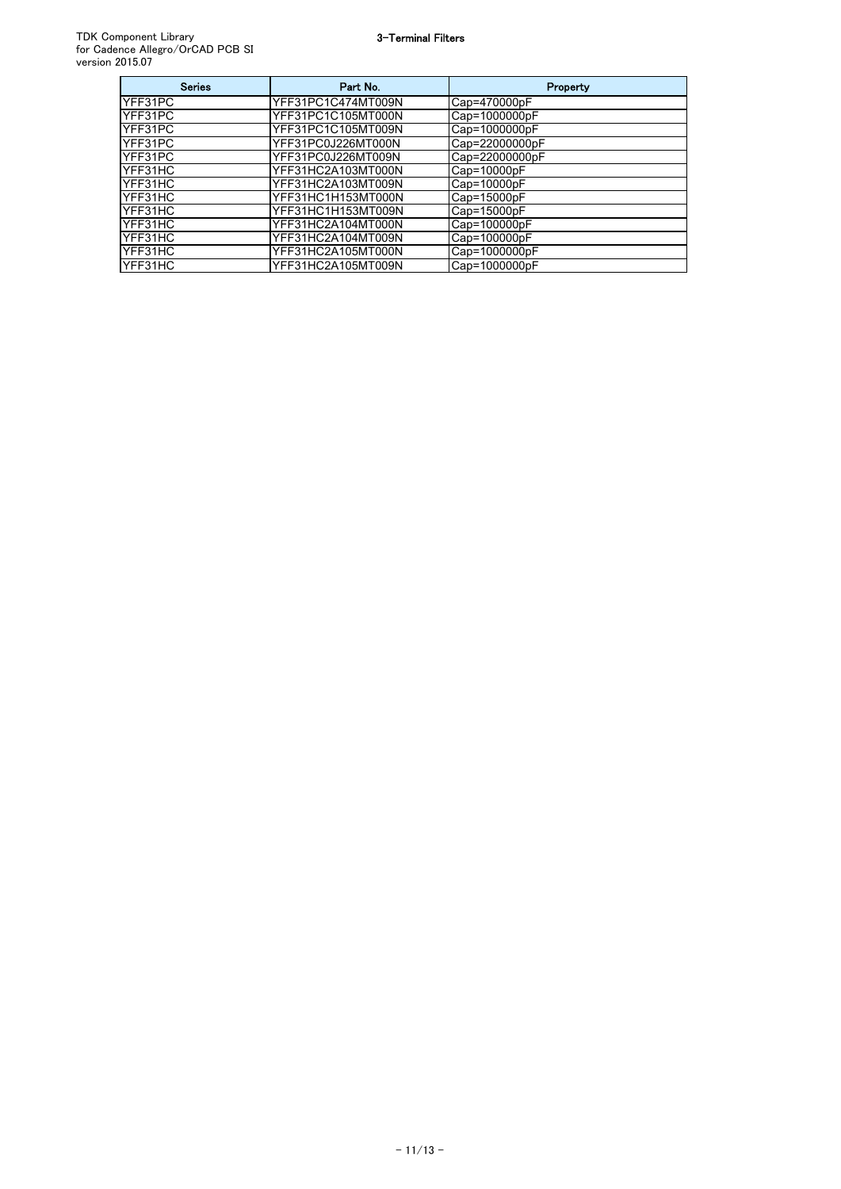| <b>Series</b> | Part No.           | Property       |
|---------------|--------------------|----------------|
| YFF31PC       | YFF31PC1C474MT009N | Cap=470000pF   |
| YFF31PC       | YFF31PC1C105MT000N | Cap=1000000pF  |
| YFF31PC       | YFF31PC1C105MT009N | Cap=1000000pF  |
| YFF31PC       | YFF31PC0J226MT000N | Cap=22000000pF |
| YFF31PC       | YFF31PC0J226MT009N | Cap=22000000pF |
| YFF31HC       | YFF31HC2A103MT000N | Cap=10000pF    |
| YFF31HC       | YFF31HC2A103MT009N | Cap=10000pF    |
| YFF31HC       | YFF31HC1H153MT000N | Cap=15000pF    |
| YFF31HC       | YFF31HC1H153MT009N | Cap=15000pF    |
| YFF31HC       | YFF31HC2A104MT000N | Cap=100000pF   |
| YFF31HC       | YFF31HC2A104MT009N | Cap=100000pF   |
| YFF31HC       | YFF31HC2A105MT000N | Cap=1000000pF  |
| YFF31HC       | YFF31HC2A105MT009N | Cap=1000000pF  |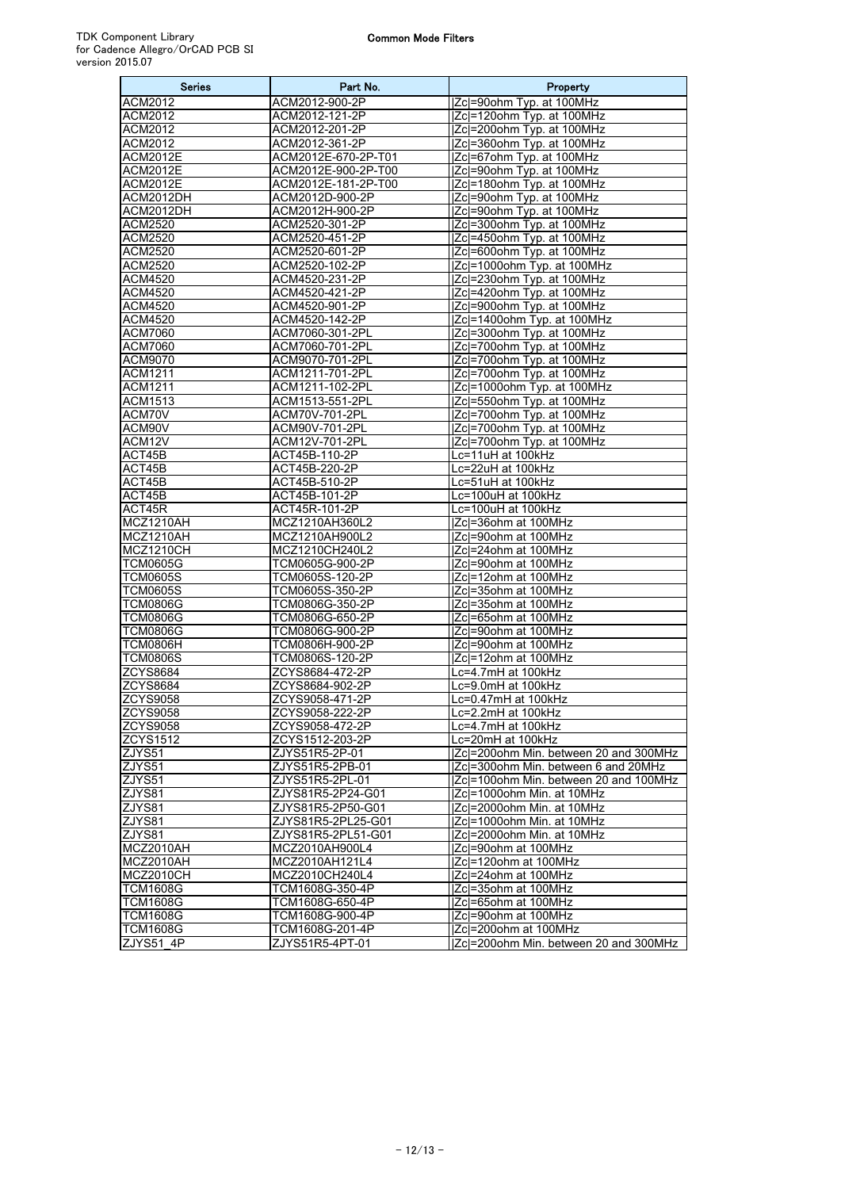| <b>Series</b>             | Part No.                                 | Property                                                |
|---------------------------|------------------------------------------|---------------------------------------------------------|
| ACM2012                   | ACM2012-900-2P                           | Zc =90ohm Typ. at 100MHz                                |
| ACM2012                   | ACM2012-121-2P                           | Zc =120ohm Typ. at 100MHz                               |
| ACM2012                   | ACM2012-201-2P                           | Zc =200ohm Typ. at 100MHz                               |
| ACM2012                   | ACM2012-361-2P                           | Zc =360ohm Typ. at 100MHz                               |
| <b>ACM2012E</b>           | ACM2012E-670-2P-T01                      | Zc =67ohm Typ. at 100MHz                                |
| ACM2012E                  | ACM2012E-900-2P-T00                      | Zc =90ohm Typ. at 100MHz                                |
| ACM2012E                  | ACM2012E-181-2P-T00                      | Zc =180ohm Typ. at 100MHz                               |
| ACM2012DH                 | ACM2012D-900-2P                          | Zc =90ohm Typ. at 100MHz                                |
| ACM2012DH                 | ACM2012H-900-2P                          | Zc =90ohm Typ. at 100MHz                                |
| ACM2520                   | ACM2520-301-2P                           | Zc =300ohm Typ. at 100MHz                               |
| ACM2520                   | ACM2520-451-2P                           | Zc =450ohm Typ. at 100MHz                               |
| ACM2520                   | ACM2520-601-2P                           | Zcl=600ohm Typ. at 100MHz                               |
| ACM2520                   | ACM2520-102-2P                           | Zc =1000ohm Typ. at 100MHz                              |
| ACM4520                   | ACM4520-231-2P                           | Zc =230ohm Typ. at 100MHz                               |
| ACM4520                   | ACM4520-421-2P                           | Zc =420ohm Typ. at 100MHz                               |
| <b>ACM4520</b>            | ACM4520-901-2P                           | Zcl=900ohm Typ. at 100MHz                               |
| ACM4520                   | ACM4520-142-2P                           | Zc =1400ohm Typ. at 100MHz                              |
| ACM7060                   | ACM7060-301-2PL                          | Zcl=300ohm Typ. at 100MHz                               |
| <b>ACM7060</b>            | ACM7060-701-2PL                          | <b>Zcl=700ohm Typ. at 100MHz</b>                        |
| ACM9070                   | ACM9070-701-2PL                          | Zc =700ohm Typ. at 100MHz                               |
| ACM1211                   | ACM1211-701-2PL                          | Zcl=700ohm Typ. at 100MHz                               |
| ACM1211<br><b>ACM1513</b> | ACM1211-102-2PL                          | Zc =1000ohm Typ. at 100MHz                              |
| ACM70V                    | ACM1513-551-2PL<br>ACM70V-701-2PL        | Zcl=550ohm Typ. at 100MHz                               |
| ACM90V                    | ACM90V-701-2PL                           | Zcl=700ohm Typ. at 100MHz                               |
| ACM12V                    | ACM12V-701-2PL                           | Zc =700ohm Typ. at 100MHz<br> Zc =700ohm Typ. at 100MHz |
| ACT45B                    | ACT45B-110-2P                            | Lc=11uH at 100kHz                                       |
| ACT45B                    | ACT45B-220-2P                            | Lc=22uH at 100kHz                                       |
| ACT45B                    | ACT45B-510-2P                            | Lc=51uH at 100kHz                                       |
| ACT45B                    | ACT45B-101-2P                            | Lc=100uH at 100kHz                                      |
| ACT45R                    | ACT45R-101-2P                            | Lc=100uH at 100kHz                                      |
| MCZ1210AH                 | MCZ1210AH360L2                           | Zcl=36ohm at 100MHz                                     |
| MCZ1210AH                 | MCZ1210AH900L2                           | <b>Zcl=90ohm at 100MHz</b>                              |
| MCZ1210CH                 | MCZ1210CH240L2                           | IZcl=24ohm at 100MHz                                    |
| <b>TCM0605G</b>           | TCM0605G-900-2P                          | <b>Zcl=90ohm at 100MHz</b>                              |
| TCM0605S                  | TCM0605S-120-2P                          | IZcl=12ohm at 100MHz                                    |
| <b>TCM0605S</b>           | TCM0605S-350-2P                          | IZcl=35ohm at 100MHz                                    |
| <b>TCM0806G</b>           | TCM0806G-350-2P                          | Zc =35ohm at 100MHz                                     |
| TCM0806G                  | TCM0806G-650-2P                          | IZcl=65ohm at 100MHz                                    |
| <b>TCM0806G</b>           | TCM0806G-900-2P                          | <b>IZcl=90ohm at 100MHz</b>                             |
| TCM0806H                  | TCM0806H-900-2P                          | <b>IZcl=90ohm at 100MHz</b>                             |
| <b>TCM0806S</b>           | TCM0806S-120-2P                          | IZcl=12ohm at 100MHz                                    |
| ZCYS8684                  | ZCYS8684-472-2P                          | Lc=4.7mH at 100kHz                                      |
| <b>ZCYS8684</b>           | ZCYS8684-902-2P                          | Lc=9.0mH at 100kHz                                      |
| <b>ZCYS9058</b>           | ZCYS9058-471-2P                          | Lc=0.47mH at 100kHz                                     |
| <b>ZCYS9058</b>           | ZCYS9058-222-2P                          | Lc=2.2mH at 100kHz                                      |
| <b>ZCYS9058</b>           | ZCYS9058-472-2P                          | Lc=4.7mH at 100kHz                                      |
| <b>ZCYS1512</b>           | ZCYS1512-203-2P                          | Lc=20mH at 100kHz                                       |
| ZJYS51                    | ZJYS51R5-2P-01                           | Zc =200ohm Min. between 20 and 300MHz                   |
| ZJYS51                    | ZJYS51R5-2PB-01                          | Zc =300ohm Min. between 6 and 20MHz                     |
| ZJYS51                    | ZJYS51R5-2PL-01                          | Zc =100ohm Min. between 20 and 100MHz                   |
| ZJYS81                    | ZJYS81R5-2P24-G01                        | IZcl=1000ohm Min. at 10MHz                              |
| ZJYS81                    | ZJYS81R5-2P50-G01                        | Zc =2000ohm Min. at 10MHz                               |
| ZJYS81<br>ZJYS81          | ZJYS81R5-2PL25-G01<br>ZJYS81R5-2PL51-G01 | Zc =1000ohm Min. at 10MHz<br>IZcl=2000ohm Min. at 10MHz |
| MCZ2010AH                 | MCZ2010AH900L4                           | Zc =90ohm at 100MHz                                     |
| MCZ2010AH                 | MCZ2010AH121L4                           | Zc =120ohm at 100MHz                                    |
| MCZ2010CH                 | MCZ2010CH240L4                           | <b>Zcl=24ohm at 100MHz</b>                              |
| <b>TCM1608G</b>           | TCM1608G-350-4P                          | Zc =35ohm at 100MHz                                     |
| <b>TCM1608G</b>           | TCM1608G-650-4P                          | <b>Zcl=65ohm at 100MHz</b>                              |
| <b>TCM1608G</b>           | TCM1608G-900-4P                          | Zc =90ohm at 100MHz                                     |
| <b>TCM1608G</b>           | TCM1608G-201-4P                          | Zc =200ohm at 100MHz                                    |
| ZJYS51_4P                 | ZJYS51R5-4PT-01                          | Zc =200ohm Min. between 20 and 300MHz                   |
|                           |                                          |                                                         |